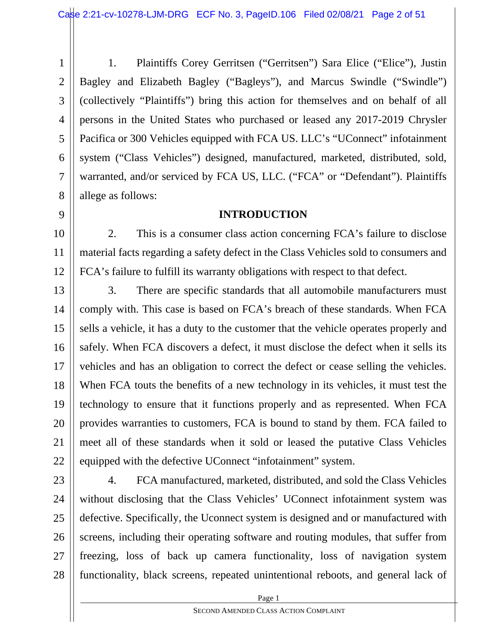1 2 3 4 5 6 7 8 1. Plaintiffs Corey Gerritsen ("Gerritsen") Sara Elice ("Elice"), Justin Bagley and Elizabeth Bagley ("Bagleys"), and Marcus Swindle ("Swindle") (collectively "Plaintiffs") bring this action for themselves and on behalf of all persons in the United States who purchased or leased any 2017-2019 Chrysler Pacifica or 300 Vehicles equipped with FCA US. LLC's "UConnect" infotainment system ("Class Vehicles") designed, manufactured, marketed, distributed, sold, warranted, and/or serviced by FCA US, LLC. ("FCA" or "Defendant"). Plaintiffs allege as follows:

#### **INTRODUCTION**

9

11

10 12 2. This is a consumer class action concerning FCA's failure to disclose material facts regarding a safety defect in the Class Vehicles sold to consumers and FCA's failure to fulfill its warranty obligations with respect to that defect.

13 14 15 16 17 18 19 20 21 22 3. There are specific standards that all automobile manufacturers must comply with. This case is based on FCA's breach of these standards. When FCA sells a vehicle, it has a duty to the customer that the vehicle operates properly and safely. When FCA discovers a defect, it must disclose the defect when it sells its vehicles and has an obligation to correct the defect or cease selling the vehicles. When FCA touts the benefits of a new technology in its vehicles, it must test the technology to ensure that it functions properly and as represented. When FCA provides warranties to customers, FCA is bound to stand by them. FCA failed to meet all of these standards when it sold or leased the putative Class Vehicles equipped with the defective UConnect "infotainment" system.

23 24 25 26 27 28 4. FCA manufactured, marketed, distributed, and sold the Class Vehicles without disclosing that the Class Vehicles' UConnect infotainment system was defective. Specifically, the Uconnect system is designed and or manufactured with screens, including their operating software and routing modules, that suffer from freezing, loss of back up camera functionality, loss of navigation system functionality, black screens, repeated unintentional reboots, and general lack of

**Page 1**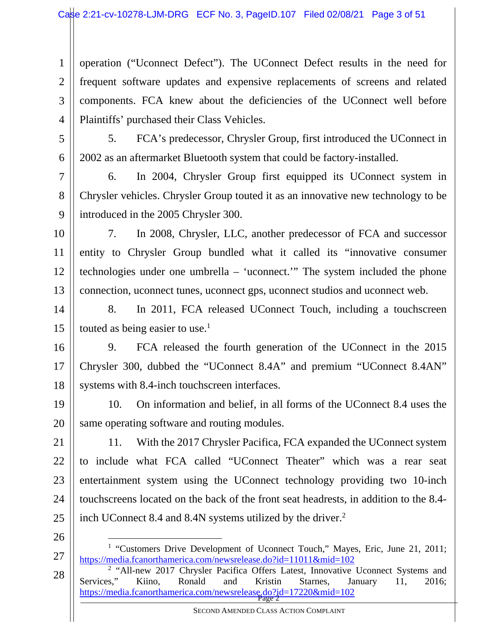2 3 4 operation ("Uconnect Defect"). The UConnect Defect results in the need for frequent software updates and expensive replacements of screens and related components. FCA knew about the deficiencies of the UConnect well before Plaintiffs' purchased their Class Vehicles.

5

6

1

5. FCA's predecessor, Chrysler Group, first introduced the UConnect in 2002 as an aftermarket Bluetooth system that could be factory-installed.

7 8 9 6. In 2004, Chrysler Group first equipped its UConnect system in Chrysler vehicles. Chrysler Group touted it as an innovative new technology to be introduced in the 2005 Chrysler 300.

10 11 12 13 7. In 2008, Chrysler, LLC, another predecessor of FCA and successor entity to Chrysler Group bundled what it called its "innovative consumer technologies under one umbrella – 'uconnect.'" The system included the phone connection, uconnect tunes, uconnect gps, uconnect studios and uconnect web.

14 15 8. In 2011, FCA released UConnect Touch, including a touchscreen touted as being easier to use. $<sup>1</sup>$ </sup>

16 17 18 9. FCA released the fourth generation of the UConnect in the 2015 Chrysler 300, dubbed the "UConnect 8.4A" and premium "UConnect 8.4AN" systems with 8.4-inch touchscreen interfaces.

19 20 10. On information and belief, in all forms of the UConnect 8.4 uses the same operating software and routing modules.

21 22 23 24 25 11. With the 2017 Chrysler Pacifica, FCA expanded the UConnect system to include what FCA called "UConnect Theater" which was a rear seat entertainment system using the UConnect technology providing two 10-inch touchscreens located on the back of the front seat headrests, in addition to the 8.4 inch UConnect 8.4 and 8.4N systems utilized by the driver.<sup>2</sup>

26

27

| https://media.fcanorthamerica.com/newsrelease.do?id=17220&mid=102 28 <sup>2</sup> "All-new 2017 Chrysler Pacifica Offers Latest, Innovative Uconnect Systems and Services," Kiino, Ronald and Kristin Starnes, January 11, 2016;

SECOND AMENDED CLASS ACTION COMPLAINT

<sup>&</sup>lt;sup>1</sup> "Customers Drive Development of Uconnect Touch," Mayes, Eric, June 21, 2011; https://media.fcanorthamerica.com/newsrelease.do?id=11011&mid=102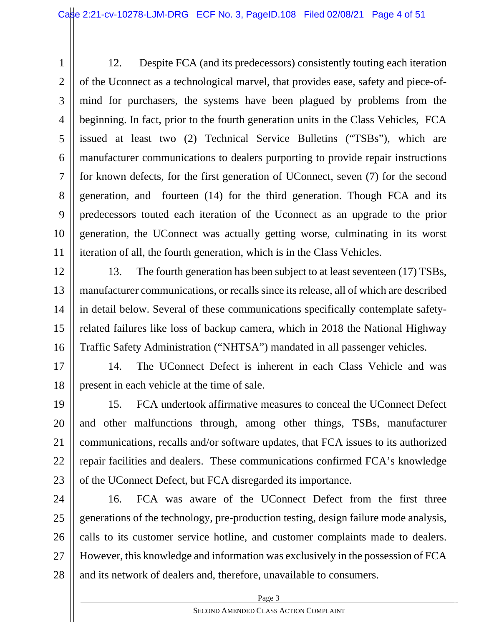1 2 3 4 5 6 7 8 9 10 11 12. Despite FCA (and its predecessors) consistently touting each iteration of the Uconnect as a technological marvel, that provides ease, safety and piece-ofmind for purchasers, the systems have been plagued by problems from the beginning. In fact, prior to the fourth generation units in the Class Vehicles, FCA issued at least two (2) Technical Service Bulletins ("TSBs"), which are manufacturer communications to dealers purporting to provide repair instructions for known defects, for the first generation of UConnect, seven (7) for the second generation, and fourteen (14) for the third generation. Though FCA and its predecessors touted each iteration of the Uconnect as an upgrade to the prior generation, the UConnect was actually getting worse, culminating in its worst iteration of all, the fourth generation, which is in the Class Vehicles.

12 13 14 15 16 13. The fourth generation has been subject to at least seventeen (17) TSBs, manufacturer communications, or recalls since its release, all of which are described in detail below. Several of these communications specifically contemplate safetyrelated failures like loss of backup camera, which in 2018 the National Highway Traffic Safety Administration ("NHTSA") mandated in all passenger vehicles.

17 18 14. The UConnect Defect is inherent in each Class Vehicle and was present in each vehicle at the time of sale.

19 20 21 22 23 15. FCA undertook affirmative measures to conceal the UConnect Defect and other malfunctions through, among other things, TSBs, manufacturer communications, recalls and/or software updates, that FCA issues to its authorized repair facilities and dealers. These communications confirmed FCA's knowledge of the UConnect Defect, but FCA disregarded its importance.

24 25 26 27 28 16. FCA was aware of the UConnect Defect from the first three generations of the technology, pre-production testing, design failure mode analysis, calls to its customer service hotline, and customer complaints made to dealers. However, this knowledge and information was exclusively in the possession of FCA and its network of dealers and, therefore, unavailable to consumers.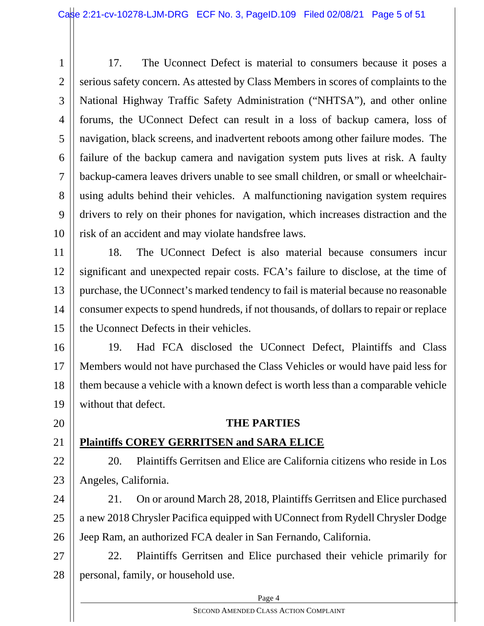1 2 3 4 5 6 7 8 9 10 17. The Uconnect Defect is material to consumers because it poses a serious safety concern. As attested by Class Members in scores of complaints to the National Highway Traffic Safety Administration ("NHTSA"), and other online forums, the UConnect Defect can result in a loss of backup camera, loss of navigation, black screens, and inadvertent reboots among other failure modes. The failure of the backup camera and navigation system puts lives at risk. A faulty backup-camera leaves drivers unable to see small children, or small or wheelchairusing adults behind their vehicles. A malfunctioning navigation system requires drivers to rely on their phones for navigation, which increases distraction and the risk of an accident and may violate handsfree laws.

11 12 13 14 15 18. The UConnect Defect is also material because consumers incur significant and unexpected repair costs. FCA's failure to disclose, at the time of purchase, the UConnect's marked tendency to fail is material because no reasonable consumer expects to spend hundreds, if not thousands, of dollars to repair or replace the Uconnect Defects in their vehicles.

16 17 18 19 19. Had FCA disclosed the UConnect Defect, Plaintiffs and Class Members would not have purchased the Class Vehicles or would have paid less for them because a vehicle with a known defect is worth less than a comparable vehicle without that defect.

#### **THE PARTIES**

### **Plaintiffs COREY GERRITSEN and SARA ELICE**

20

21

22 23 20. Plaintiffs Gerritsen and Elice are California citizens who reside in Los Angeles, California.

24 25 26 21. On or around March 28, 2018, Plaintiffs Gerritsen and Elice purchased a new 2018 Chrysler Pacifica equipped with UConnect from Rydell Chrysler Dodge Jeep Ram, an authorized FCA dealer in San Fernando, California.

27 28 22. Plaintiffs Gerritsen and Elice purchased their vehicle primarily for personal, family, or household use.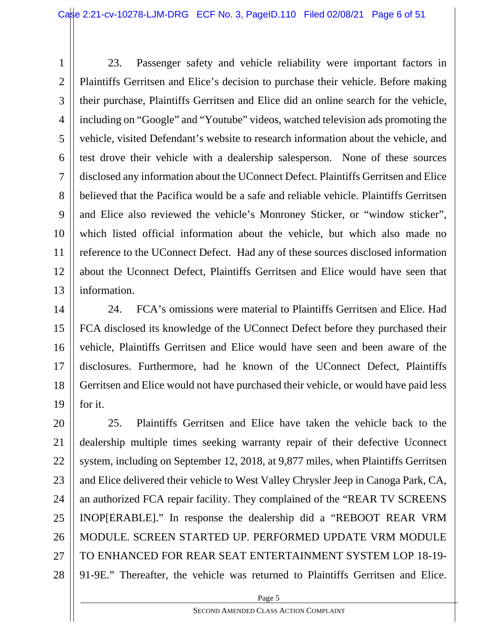1 2 3 4 5 6 7 8 9 10 11 12 13 23. Passenger safety and vehicle reliability were important factors in Plaintiffs Gerritsen and Elice's decision to purchase their vehicle. Before making their purchase, Plaintiffs Gerritsen and Elice did an online search for the vehicle, including on "Google" and "Youtube" videos, watched television ads promoting the vehicle, visited Defendant's website to research information about the vehicle, and test drove their vehicle with a dealership salesperson. None of these sources disclosed any information about the UConnect Defect. Plaintiffs Gerritsen and Elice believed that the Pacifica would be a safe and reliable vehicle. Plaintiffs Gerritsen and Elice also reviewed the vehicle's Monroney Sticker, or "window sticker", which listed official information about the vehicle, but which also made no reference to the UConnect Defect. Had any of these sources disclosed information about the Uconnect Defect, Plaintiffs Gerritsen and Elice would have seen that information.

14 15 16 17 18 19 24. FCA's omissions were material to Plaintiffs Gerritsen and Elice. Had FCA disclosed its knowledge of the UConnect Defect before they purchased their vehicle, Plaintiffs Gerritsen and Elice would have seen and been aware of the disclosures. Furthermore, had he known of the UConnect Defect, Plaintiffs Gerritsen and Elice would not have purchased their vehicle, or would have paid less for it.

20 21 22 23 24 25 26 27 28 25. Plaintiffs Gerritsen and Elice have taken the vehicle back to the dealership multiple times seeking warranty repair of their defective Uconnect system, including on September 12, 2018, at 9,877 miles, when Plaintiffs Gerritsen and Elice delivered their vehicle to West Valley Chrysler Jeep in Canoga Park, CA, an authorized FCA repair facility. They complained of the "REAR TV SCREENS INOP[ERABLE]." In response the dealership did a "REBOOT REAR VRM MODULE. SCREEN STARTED UP. PERFORMED UPDATE VRM MODULE TO ENHANCED FOR REAR SEAT ENTERTAINMENT SYSTEM LOP 18-19- 91-9E." Thereafter, the vehicle was returned to Plaintiffs Gerritsen and Elice.

**Page 5**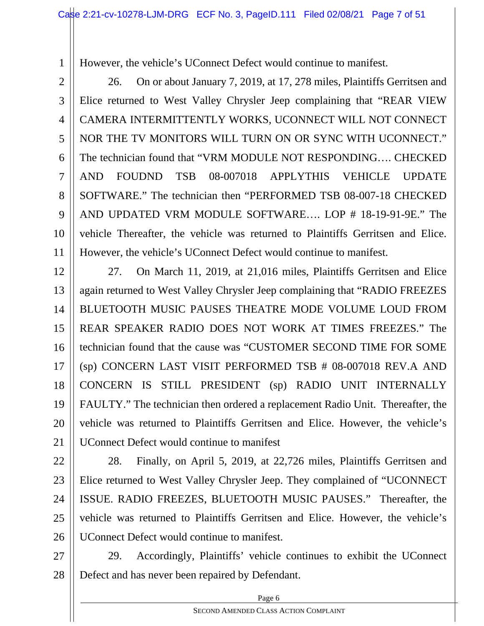However, the vehicle's UConnect Defect would continue to manifest.

1

2 3 4 5 6 7 8 9 10 11 26. On or about January 7, 2019, at 17, 278 miles, Plaintiffs Gerritsen and Elice returned to West Valley Chrysler Jeep complaining that "REAR VIEW CAMERA INTERMITTENTLY WORKS, UCONNECT WILL NOT CONNECT NOR THE TV MONITORS WILL TURN ON OR SYNC WITH UCONNECT." The technician found that "VRM MODULE NOT RESPONDING…. CHECKED AND FOUDND TSB 08-007018 APPLYTHIS VEHICLE UPDATE SOFTWARE." The technician then "PERFORMED TSB 08-007-18 CHECKED AND UPDATED VRM MODULE SOFTWARE…. LOP # 18-19-91-9E." The vehicle Thereafter, the vehicle was returned to Plaintiffs Gerritsen and Elice. However, the vehicle's UConnect Defect would continue to manifest.

12 13 14 15 16 17 18 19 20 21 27. On March 11, 2019, at 21,016 miles, Plaintiffs Gerritsen and Elice again returned to West Valley Chrysler Jeep complaining that "RADIO FREEZES BLUETOOTH MUSIC PAUSES THEATRE MODE VOLUME LOUD FROM REAR SPEAKER RADIO DOES NOT WORK AT TIMES FREEZES." The technician found that the cause was "CUSTOMER SECOND TIME FOR SOME (sp) CONCERN LAST VISIT PERFORMED TSB # 08-007018 REV.A AND CONCERN IS STILL PRESIDENT (sp) RADIO UNIT INTERNALLY FAULTY." The technician then ordered a replacement Radio Unit. Thereafter, the vehicle was returned to Plaintiffs Gerritsen and Elice. However, the vehicle's UConnect Defect would continue to manifest

22 23 24 25 26 28. Finally, on April 5, 2019, at 22,726 miles, Plaintiffs Gerritsen and Elice returned to West Valley Chrysler Jeep. They complained of "UCONNECT ISSUE. RADIO FREEZES, BLUETOOTH MUSIC PAUSES." Thereafter, the vehicle was returned to Plaintiffs Gerritsen and Elice. However, the vehicle's UConnect Defect would continue to manifest.

27 28 29. Accordingly, Plaintiffs' vehicle continues to exhibit the UConnect Defect and has never been repaired by Defendant.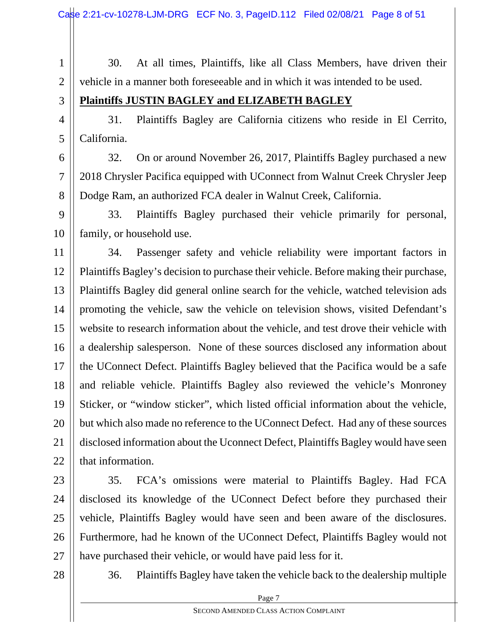1 2 30. At all times, Plaintiffs, like all Class Members, have driven their vehicle in a manner both foreseeable and in which it was intended to be used.

3

6

7

8

### **Plaintiffs JUSTIN BAGLEY and ELIZABETH BAGLEY**

4 5 31. Plaintiffs Bagley are California citizens who reside in El Cerrito, California.

32. On or around November 26, 2017, Plaintiffs Bagley purchased a new 2018 Chrysler Pacifica equipped with UConnect from Walnut Creek Chrysler Jeep Dodge Ram, an authorized FCA dealer in Walnut Creek, California.

9 10 33. Plaintiffs Bagley purchased their vehicle primarily for personal, family, or household use.

11 12 13 14 15 16 17 18 19 20 21 22 34. Passenger safety and vehicle reliability were important factors in Plaintiffs Bagley's decision to purchase their vehicle. Before making their purchase, Plaintiffs Bagley did general online search for the vehicle, watched television ads promoting the vehicle, saw the vehicle on television shows, visited Defendant's website to research information about the vehicle, and test drove their vehicle with a dealership salesperson. None of these sources disclosed any information about the UConnect Defect. Plaintiffs Bagley believed that the Pacifica would be a safe and reliable vehicle. Plaintiffs Bagley also reviewed the vehicle's Monroney Sticker, or "window sticker", which listed official information about the vehicle, but which also made no reference to the UConnect Defect. Had any of these sources disclosed information about the Uconnect Defect, Plaintiffs Bagley would have seen that information.

23

24 25

26

35. FCA's omissions were material to Plaintiffs Bagley. Had FCA disclosed its knowledge of the UConnect Defect before they purchased their vehicle, Plaintiffs Bagley would have seen and been aware of the disclosures. Furthermore, had he known of the UConnect Defect, Plaintiffs Bagley would not have purchased their vehicle, or would have paid less for it.

28

27

36. Plaintiffs Bagley have taken the vehicle back to the dealership multiple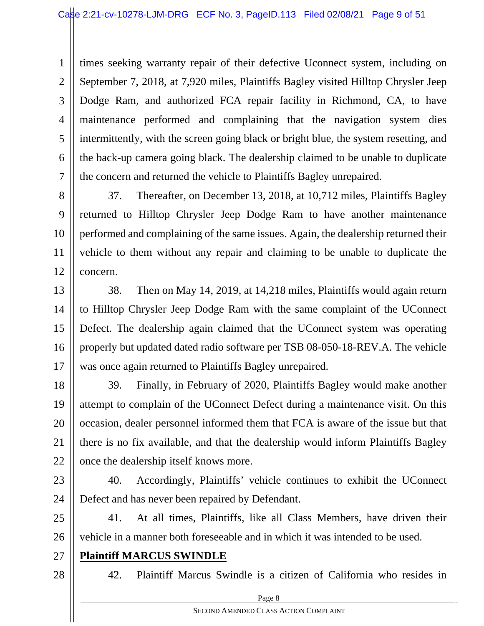1 2 3 4 5 6 7 times seeking warranty repair of their defective Uconnect system, including on September 7, 2018, at 7,920 miles, Plaintiffs Bagley visited Hilltop Chrysler Jeep Dodge Ram, and authorized FCA repair facility in Richmond, CA, to have maintenance performed and complaining that the navigation system dies intermittently, with the screen going black or bright blue, the system resetting, and the back-up camera going black. The dealership claimed to be unable to duplicate the concern and returned the vehicle to Plaintiffs Bagley unrepaired.

8 9 10 11 12 37. Thereafter, on December 13, 2018, at 10,712 miles, Plaintiffs Bagley returned to Hilltop Chrysler Jeep Dodge Ram to have another maintenance performed and complaining of the same issues. Again, the dealership returned their vehicle to them without any repair and claiming to be unable to duplicate the concern.

13 14 15 16 17 38. Then on May 14, 2019, at 14,218 miles, Plaintiffs would again return to Hilltop Chrysler Jeep Dodge Ram with the same complaint of the UConnect Defect. The dealership again claimed that the UConnect system was operating properly but updated dated radio software per TSB 08-050-18-REV.A. The vehicle was once again returned to Plaintiffs Bagley unrepaired.

18 19 20 21 22 39. Finally, in February of 2020, Plaintiffs Bagley would make another attempt to complain of the UConnect Defect during a maintenance visit. On this occasion, dealer personnel informed them that FCA is aware of the issue but that there is no fix available, and that the dealership would inform Plaintiffs Bagley once the dealership itself knows more.

23 24 40. Accordingly, Plaintiffs' vehicle continues to exhibit the UConnect Defect and has never been repaired by Defendant.

25 26 41. At all times, Plaintiffs, like all Class Members, have driven their vehicle in a manner both foreseeable and in which it was intended to be used.

- 27 **Plaintiff MARCUS SWINDLE**
- 28

42. Plaintiff Marcus Swindle is a citizen of California who resides in

Page 8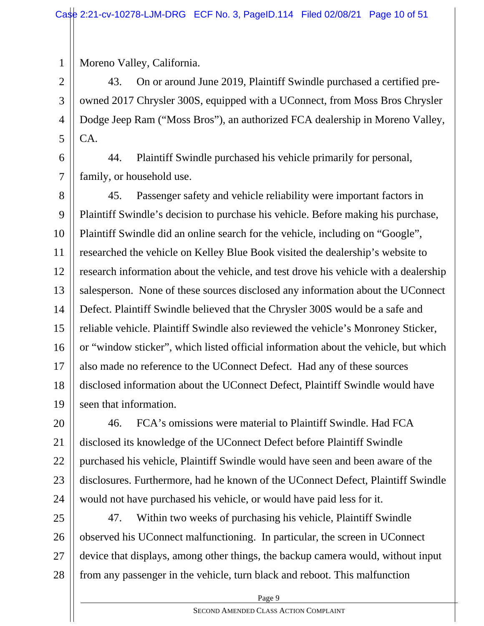Moreno Valley, California.

1

2 3 4 5 43. On or around June 2019, Plaintiff Swindle purchased a certified preowned 2017 Chrysler 300S, equipped with a UConnect, from Moss Bros Chrysler Dodge Jeep Ram ("Moss Bros"), an authorized FCA dealership in Moreno Valley, CA.

6 7 44. Plaintiff Swindle purchased his vehicle primarily for personal, family, or household use.

8 9 10 11 12 13 14 15 16 17 18 19 45. Passenger safety and vehicle reliability were important factors in Plaintiff Swindle's decision to purchase his vehicle. Before making his purchase, Plaintiff Swindle did an online search for the vehicle, including on "Google", researched the vehicle on Kelley Blue Book visited the dealership's website to research information about the vehicle, and test drove his vehicle with a dealership salesperson. None of these sources disclosed any information about the UConnect Defect. Plaintiff Swindle believed that the Chrysler 300S would be a safe and reliable vehicle. Plaintiff Swindle also reviewed the vehicle's Monroney Sticker, or "window sticker", which listed official information about the vehicle, but which also made no reference to the UConnect Defect. Had any of these sources disclosed information about the UConnect Defect, Plaintiff Swindle would have seen that information.

20 21 22 23 24 46. FCA's omissions were material to Plaintiff Swindle. Had FCA disclosed its knowledge of the UConnect Defect before Plaintiff Swindle purchased his vehicle, Plaintiff Swindle would have seen and been aware of the disclosures. Furthermore, had he known of the UConnect Defect, Plaintiff Swindle would not have purchased his vehicle, or would have paid less for it.

25 26 27 28 47. Within two weeks of purchasing his vehicle, Plaintiff Swindle observed his UConnect malfunctioning. In particular, the screen in UConnect device that displays, among other things, the backup camera would, without input from any passenger in the vehicle, turn black and reboot. This malfunction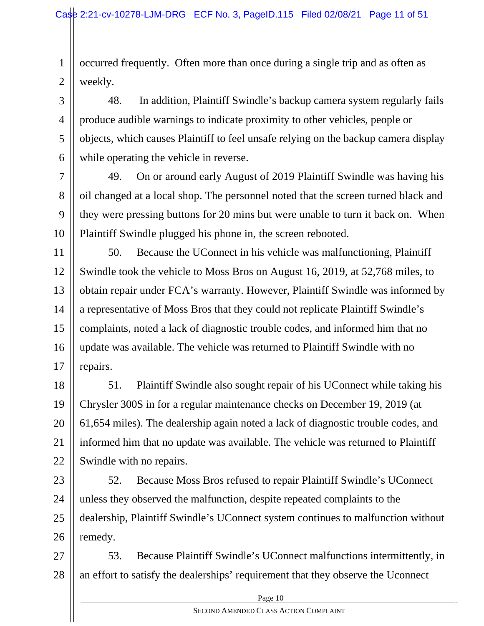1 2 occurred frequently. Often more than once during a single trip and as often as weekly.

3

4

5

7

8

9

10

6 48. In addition, Plaintiff Swindle's backup camera system regularly fails produce audible warnings to indicate proximity to other vehicles, people or objects, which causes Plaintiff to feel unsafe relying on the backup camera display while operating the vehicle in reverse.

49. On or around early August of 2019 Plaintiff Swindle was having his oil changed at a local shop. The personnel noted that the screen turned black and they were pressing buttons for 20 mins but were unable to turn it back on. When Plaintiff Swindle plugged his phone in, the screen rebooted.

11 12 13 14 15 16 17 50. Because the UConnect in his vehicle was malfunctioning, Plaintiff Swindle took the vehicle to Moss Bros on August 16, 2019, at 52,768 miles, to obtain repair under FCA's warranty. However, Plaintiff Swindle was informed by a representative of Moss Bros that they could not replicate Plaintiff Swindle's complaints, noted a lack of diagnostic trouble codes, and informed him that no update was available. The vehicle was returned to Plaintiff Swindle with no repairs.

18 19 20 21 22 51. Plaintiff Swindle also sought repair of his UConnect while taking his Chrysler 300S in for a regular maintenance checks on December 19, 2019 (at 61,654 miles). The dealership again noted a lack of diagnostic trouble codes, and informed him that no update was available. The vehicle was returned to Plaintiff Swindle with no repairs.

23 24 25 26 52. Because Moss Bros refused to repair Plaintiff Swindle's UConnect unless they observed the malfunction, despite repeated complaints to the dealership, Plaintiff Swindle's UConnect system continues to malfunction without remedy.

27 28 53. Because Plaintiff Swindle's UConnect malfunctions intermittently, in an effort to satisfy the dealerships' requirement that they observe the Uconnect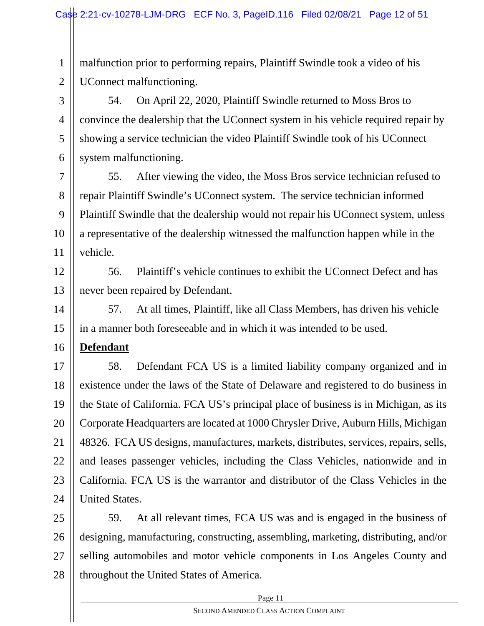1 2 malfunction prior to performing repairs, Plaintiff Swindle took a video of his UConnect malfunctioning.

3 4 5 6 54. On April 22, 2020, Plaintiff Swindle returned to Moss Bros to convince the dealership that the UConnect system in his vehicle required repair by showing a service technician the video Plaintiff Swindle took of his UConnect system malfunctioning.

7 8 9 10 11 55. After viewing the video, the Moss Bros service technician refused to repair Plaintiff Swindle's UConnect system. The service technician informed Plaintiff Swindle that the dealership would not repair his UConnect system, unless a representative of the dealership witnessed the malfunction happen while in the vehicle.

12 13 56. Plaintiff's vehicle continues to exhibit the UConnect Defect and has never been repaired by Defendant.

14 15 57. At all times, Plaintiff, like all Class Members, has driven his vehicle in a manner both foreseeable and in which it was intended to be used.

16 **Defendant**

17 18 19 20 21 22 23 24 58. Defendant FCA US is a limited liability company organized and in existence under the laws of the State of Delaware and registered to do business in the State of California. FCA US's principal place of business is in Michigan, as its Corporate Headquarters are located at 1000 Chrysler Drive, Auburn Hills, Michigan 48326. FCA US designs, manufactures, markets, distributes, services, repairs, sells, and leases passenger vehicles, including the Class Vehicles, nationwide and in California. FCA US is the warrantor and distributor of the Class Vehicles in the United States.

25 26 27 28 59. At all relevant times, FCA US was and is engaged in the business of designing, manufacturing, constructing, assembling, marketing, distributing, and/or selling automobiles and motor vehicle components in Los Angeles County and throughout the United States of America.

Page 11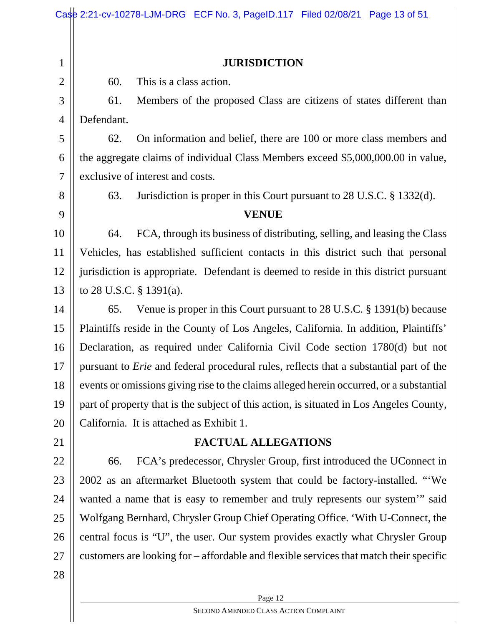|                | Case 2:21-cv-10278-LJM-DRG ECF No. 3, PageID.117 Filed 02/08/21 Page 13 of 51                 |  |  |  |
|----------------|-----------------------------------------------------------------------------------------------|--|--|--|
|                |                                                                                               |  |  |  |
| $\mathbf{1}$   | <b>JURISDICTION</b>                                                                           |  |  |  |
| $\mathbf{2}$   | This is a class action.<br>60.                                                                |  |  |  |
| 3              | Members of the proposed Class are citizens of states different than<br>61.                    |  |  |  |
| $\overline{4}$ | Defendant.                                                                                    |  |  |  |
| 5              | On information and belief, there are 100 or more class members and<br>62.                     |  |  |  |
| 6              | the aggregate claims of individual Class Members exceed \$5,000,000.00 in value,              |  |  |  |
| $\tau$         | exclusive of interest and costs.                                                              |  |  |  |
| 8              | Jurisdiction is proper in this Court pursuant to 28 U.S.C. § 1332(d).<br>63.                  |  |  |  |
| 9              | <b>VENUE</b>                                                                                  |  |  |  |
| 10             | FCA, through its business of distributing, selling, and leasing the Class<br>64.              |  |  |  |
| 11             | Vehicles, has established sufficient contacts in this district such that personal             |  |  |  |
| 12             | jurisdiction is appropriate. Defendant is deemed to reside in this district pursuant          |  |  |  |
| 13             | to 28 U.S.C. $\S$ 1391(a).                                                                    |  |  |  |
| 14             | Venue is proper in this Court pursuant to 28 U.S.C. § 1391(b) because<br>65.                  |  |  |  |
| 15             | Plaintiffs reside in the County of Los Angeles, California. In addition, Plaintiffs'          |  |  |  |
| 16             | Declaration, as required under California Civil Code section 1780(d) but not                  |  |  |  |
| 17             | pursuant to <i>Erie</i> and federal procedural rules, reflects that a substantial part of the |  |  |  |
| 18             | events or omissions giving rise to the claims alleged herein occurred, or a substantial       |  |  |  |
| 19             | part of property that is the subject of this action, is situated in Los Angeles County,       |  |  |  |
| 20             | California. It is attached as Exhibit 1.                                                      |  |  |  |
| 21             | <b>FACTUAL ALLEGATIONS</b>                                                                    |  |  |  |
| 22             | FCA's predecessor, Chrysler Group, first introduced the UConnect in<br>66.                    |  |  |  |
| 23             | 2002 as an aftermarket Bluetooth system that could be factory-installed. "We                  |  |  |  |
| 24             | wanted a name that is easy to remember and truly represents our system" said                  |  |  |  |
| 25             | Wolfgang Bernhard, Chrysler Group Chief Operating Office. 'With U-Connect, the                |  |  |  |
| 26             | central focus is "U", the user. Our system provides exactly what Chrysler Group               |  |  |  |
| 27             | customers are looking for – affordable and flexible services that match their specific        |  |  |  |
| 28             |                                                                                               |  |  |  |
|                | Page 12                                                                                       |  |  |  |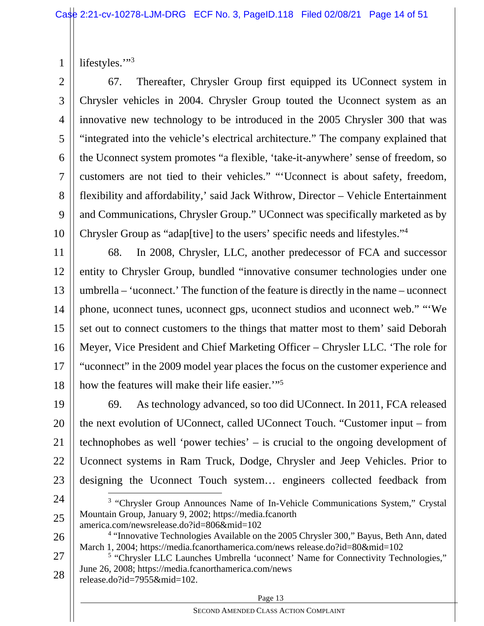1 lifestyles."3

2 3 4 5 6 7 8 9 10 67. Thereafter, Chrysler Group first equipped its UConnect system in Chrysler vehicles in 2004. Chrysler Group touted the Uconnect system as an innovative new technology to be introduced in the 2005 Chrysler 300 that was "integrated into the vehicle's electrical architecture." The company explained that the Uconnect system promotes "a flexible, 'take-it-anywhere' sense of freedom, so customers are not tied to their vehicles." "'Uconnect is about safety, freedom, flexibility and affordability,' said Jack Withrow, Director – Vehicle Entertainment and Communications, Chrysler Group." UConnect was specifically marketed as by Chrysler Group as "adap[tive] to the users' specific needs and lifestyles."4

11 12 13 14 15 16 17 18 68. In 2008, Chrysler, LLC, another predecessor of FCA and successor entity to Chrysler Group, bundled "innovative consumer technologies under one umbrella – 'uconnect.' The function of the feature is directly in the name – uconnect phone, uconnect tunes, uconnect gps, uconnect studios and uconnect web." "'We set out to connect customers to the things that matter most to them' said Deborah Meyer, Vice President and Chief Marketing Officer – Chrysler LLC. 'The role for "uconnect" in the 2009 model year places the focus on the customer experience and how the features will make their life easier."<sup>5</sup>

19 20 21 22 23 69. As technology advanced, so too did UConnect. In 2011, FCA released the next evolution of UConnect, called UConnect Touch. "Customer input – from technophobes as well 'power techies' – is crucial to the ongoing development of Uconnect systems in Ram Truck, Dodge, Chrysler and Jeep Vehicles. Prior to designing the Uconnect Touch system… engineers collected feedback from

- 24 25 <sup>3</sup> "Chrysler Group Announces Name of In-Vehicle Communications System," Crystal Mountain Group, January 9, 2002; https://media.fcanorth america.com/newsrelease.do?id=806&mid=102
- 26
- 

release.do?id=7955&mid=102.

<sup>&</sup>lt;sup>4</sup> "Innovative Technologies Available on the 2005 Chrysler 300," Bayus, Beth Ann, dated March 1, 2004; https://media.fcanorthamerica.com/news release.do?id=80&mid=102

<sup>27</sup> 28 <sup>5</sup> "Chrysler LLC Launches Umbrella 'uconnect' Name for Connectivity Technologies," June 26, 2008; https://media.fcanorthamerica.com/news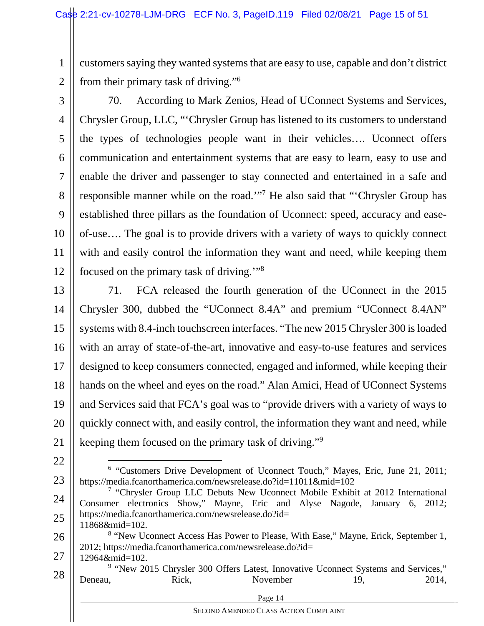1 2 customers saying they wanted systems that are easy to use, capable and don't district from their primary task of driving."6

3

4 5 6 7 8 9 10 11 12 70. According to Mark Zenios, Head of UConnect Systems and Services, Chrysler Group, LLC, "'Chrysler Group has listened to its customers to understand the types of technologies people want in their vehicles…. Uconnect offers communication and entertainment systems that are easy to learn, easy to use and enable the driver and passenger to stay connected and entertained in a safe and responsible manner while on the road."<sup>7</sup> He also said that "Chrysler Group has established three pillars as the foundation of Uconnect: speed, accuracy and easeof-use…. The goal is to provide drivers with a variety of ways to quickly connect with and easily control the information they want and need, while keeping them focused on the primary task of driving.'"8

13 14 15 16 17 18 19 20 21 71. FCA released the fourth generation of the UConnect in the 2015 Chrysler 300, dubbed the "UConnect 8.4A" and premium "UConnect 8.4AN" systems with 8.4-inch touchscreen interfaces. "The new 2015 Chrysler 300 is loaded with an array of state-of-the-art, innovative and easy-to-use features and services designed to keep consumers connected, engaged and informed, while keeping their hands on the wheel and eyes on the road." Alan Amici, Head of UConnect Systems and Services said that FCA's goal was to "provide drivers with a variety of ways to quickly connect with, and easily control, the information they want and need, while keeping them focused on the primary task of driving."9

22

27 12964&mid=102.

<sup>23</sup> <sup>6</sup> "Customers Drive Development of Uconnect Touch," Mayes, Eric, June 21, 2011; https://media.fcanorthamerica.com/newsrelease.do?id=11011&mid=102

<sup>24</sup> 25 <sup>7</sup> "Chrysler Group LLC Debuts New Uconnect Mobile Exhibit at 2012 International Consumer electronics Show," Mayne, Eric and Alyse Nagode, January 6, 2012; https://media.fcanorthamerica.com/newsrelease.do?id= 11868&mid=102.

<sup>26</sup> <sup>8</sup> "New Uconnect Access Has Power to Please, With Ease," Mayne, Erick, September 1, 2012; https://media.fcanorthamerica.com/newsrelease.do?id=

<sup>28</sup> <sup>9</sup> "New 2015 Chrysler 300 Offers Latest, Innovative Uconnect Systems and Services," Deneau, Rick, November 19, 2014,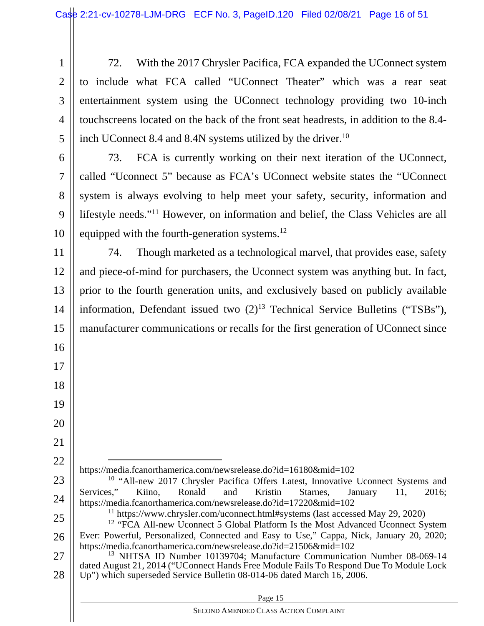1 2 3 4 5 72. With the 2017 Chrysler Pacifica, FCA expanded the UConnect system to include what FCA called "UConnect Theater" which was a rear seat entertainment system using the UConnect technology providing two 10-inch touchscreens located on the back of the front seat headrests, in addition to the 8.4 inch UConnect 8.4 and 8.4N systems utilized by the driver.<sup>10</sup>

6 7

8

9

10

16

17

18

19

20

21

22

73. FCA is currently working on their next iteration of the UConnect, called "Uconnect 5" because as FCA's UConnect website states the "UConnect system is always evolving to help meet your safety, security, information and lifestyle needs."11 However, on information and belief, the Class Vehicles are all equipped with the fourth-generation systems.<sup>12</sup>

11 12 13 14 15 74. Though marketed as a technological marvel, that provides ease, safety and piece-of-mind for purchasers, the Uconnect system was anything but. In fact, prior to the fourth generation units, and exclusively based on publicly available information, Defendant issued two  $(2)^{13}$  Technical Service Bulletins ("TSBs"), manufacturer communications or recalls for the first generation of UConnect since

- https://media.fcanorthamerica.com/newsrelease.do?id=16180&mid=102
- 23 24 <sup>10</sup> "All-new 2017 Chrysler Pacifica Offers Latest, Innovative Uconnect Systems and Services," Kiino, Ronald and Kristin Starnes, January 11, 2016; https://media.fcanorthamerica.com/newsrelease.do?id=17220&mid=102
	- $11$  https://www.chrysler.com/uconnect.html#systems (last accessed May 29, 2020)
- 25 26 <sup>12</sup> "FCA All-new Uconnect 5 Global Platform Is the Most Advanced Uconnect System Ever: Powerful, Personalized, Connected and Easy to Use," Cappa, Nick, January 20, 2020; https://media.fcanorthamerica.com/newsrelease.do?id=21506&mid=102
- 27 28 <sup>13</sup> NHTSA ID Number 10139704; Manufacture Communication Number 08-069-14 dated August 21, 2014 ("UConnect Hands Free Module Fails To Respond Due To Module Lock Up") which superseded Service Bulletin 08-014-06 dated March 16, 2006.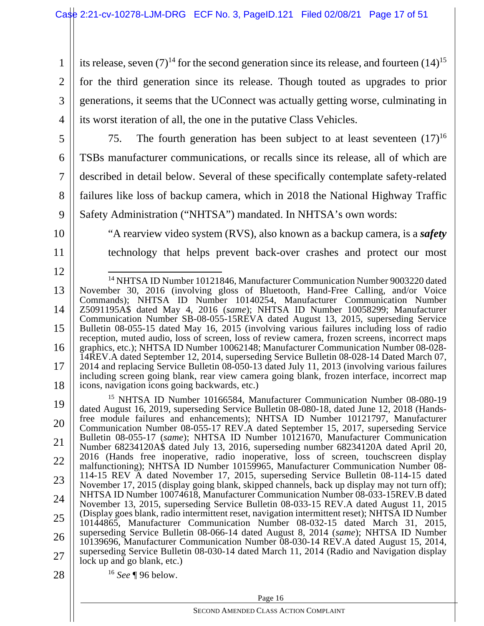1 2 3 4 its release, seven  $(7)^{14}$  for the second generation since its release, and fourteen  $(14)^{15}$ for the third generation since its release. Though touted as upgrades to prior generations, it seems that the UConnect was actually getting worse, culminating in its worst iteration of all, the one in the putative Class Vehicles.

5

6

7

8

9

75. The fourth generation has been subject to at least seventeen  $(17)^{16}$ TSBs manufacturer communications, or recalls since its release, all of which are described in detail below. Several of these specifically contemplate safety-related failures like loss of backup camera, which in 2018 the National Highway Traffic Safety Administration ("NHTSA") mandated. In NHTSA's own words:

10

11

12

"A rearview video system (RVS), also known as a backup camera, is a *safety* technology that helps prevent back-over crashes and protect our most

<sup>13</sup> 14 15 16 17 18 14 NHTSA ID Number 10121846, Manufacturer Communication Number 9003220 dated November 30, 2016 (involving gloss of Bluetooth, Hand-Free Calling, and/or Voice Commands); NHTSA ID Number 10140254, Manufacturer Communication Number Z5091195A\$ dated May 4, 2016 (*same*); NHTSA ID Number 10058299; Manufacturer Communication Number SB-08-055-15REVA dated August 13, 2015, superseding Service Bulletin 08-055-15 dated May 16, 2015 (involving various failures including loss of radio reception, muted audio, loss of screen, loss of review camera, frozen screens, incorrect maps graphics, etc.); NHTSA ID Number 10062148; Manufacturer Communication Number 08-028- 14REV.A dated September 12, 2014, superseding Service Bulletin 08-028-14 Dated March 07, 2014 and replacing Service Bulletin 08-050-13 dated July 11, 2013 (involving various failures including screen going blank, rear view camera going blank, frozen interface, incorrect map icons, navigation icons going backwards, etc.)

<sup>19</sup> 20 21 22 23 24 25 26 27 28 15 NHTSA ID Number 10166584, Manufacturer Communication Number 08-080-19 dated August 16, 2019, superseding Service Bulletin 08-080-18, dated June 12, 2018 (Handsfree module failures and enhancements); NHTSA ID Number 10121797, Manufacturer Communication Number 08-055-17 REV.A dated September 15, 2017, superseding Service Bulletin 08-055-17 (*same*); NHTSA ID Number 10121670, Manufacturer Communication Number 68234120A\$ dated July 13, 2016, superseding number 68234120A dated April 20, 2016 (Hands free inoperative, radio inoperative, loss of screen, touchscreen display malfunctioning); NHTSA ID Number 10159965, Manufacturer Communication Number 08- 114-15 REV A dated November 17, 2015, superseding Service Bulletin 08-114-15 dated November 17, 2015 (display going blank, skipped channels, back up display may not turn off); NHTSA ID Number 10074618, Manufacturer Communication Number 08-033-15REV.B dated November 13, 2015, superseding Service Bulletin 08-033-15 REV.A dated August 11, 2015 (Display goes blank, radio intermittent reset, navigation intermittent reset); NHTSA ID Number 10144865, Manufacturer Communication Number 08-032-15 dated March 31, 2015, superseding Service Bulletin 08-066-14 dated August 8, 2014 (*same*); NHTSA ID Number 10139696, Manufacturer Communication Number 08-030-14 REV.A dated August 15, 2014, superseding Service Bulletin 08-030-14 dated March 11, 2014 (Radio and Navigation display lock up and go blank, etc.) <sup>16</sup> *See* ¶ 96 below.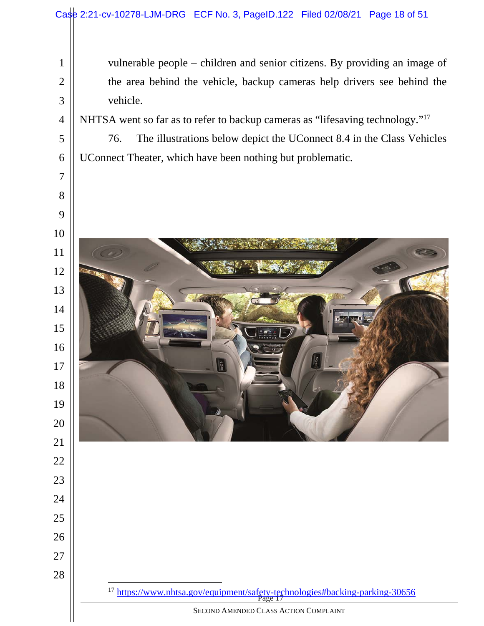vulnerable people – children and senior citizens. By providing an image of the area behind the vehicle, backup cameras help drivers see behind the vehicle.

NHTSA went so far as to refer to backup cameras as "lifesaving technology."17

76. The illustrations below depict the UConnect 8.4 in the Class Vehicles UConnect Theater, which have been nothing but problematic.



<sup>17</sup> https://www.nhtsa.gov/equipment/safety-technologies#backing-parking-30656<br>Page 17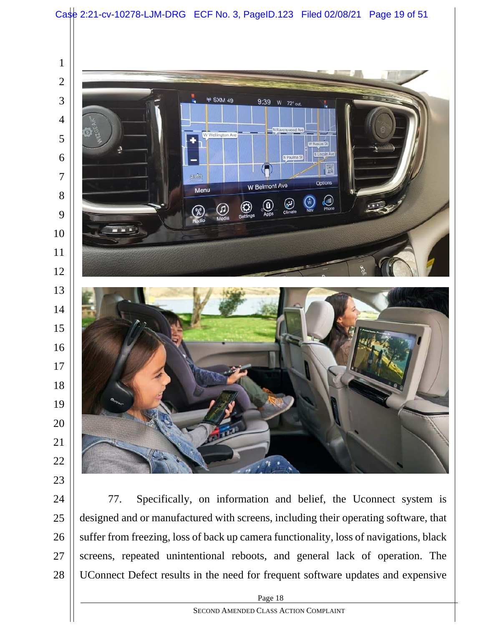

77. Specifically, on information and belief, the Uconnect system is designed and or manufactured with screens, including their operating software, that suffer from freezing, loss of back up camera functionality, loss of navigations, black screens, repeated unintentional reboots, and general lack of operation. The UConnect Defect results in the need for frequent software updates and expensive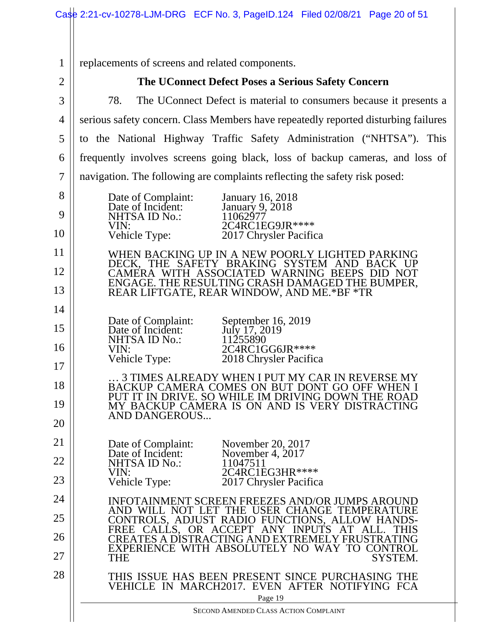Page 19 SECOND AMENDED CLASS ACTION COMPLAINT 1 2 3 4 5 6 7 8 9 10 11 12 13 14 15 16 17 18 19 20 21 22 23 24 25 26 27 28 replacements of screens and related components. **The UConnect Defect Poses a Serious Safety Concern**  78. The UConnect Defect is material to consumers because it presents a serious safety concern. Class Members have repeatedly reported disturbing failures to the National Highway Traffic Safety Administration ("NHTSA"). This frequently involves screens going black, loss of backup cameras, and loss of navigation. The following are complaints reflecting the safety risk posed: Date of Complaint: January 16, 2018<br>Date of Incident: January 9, 2018 January 9, 2018<br>11062977 NHTSA ID No.:<br>VIN: VIN: 2C4RC1EG9JR\*\*\*\*<br>Vehicle Type: 2017 Chrysler Pacific 2017 Chrysler Pacifica WHEN BACKING UP IN A NEW POORLY LIGHTED PARKING DECK, THE SAFETY BRAKING SYSTEM AND BACK UP CAMERA WITH ASSOCIATED WARNING BEEPS DID NOT ENGAGE. THE RESULTING CRASH DAMAGED THE BUMPER, REAR LIFTGATE, REAR WINDOW, AND ME.\*BF \*TR Date of Complaint: September 16, 2019<br>Date of Incident: July 17, 2019 Date of Incident: July 17, 20<br>NHTSA ID No.: 11255890 NHTSA ID No.:<br>VIN: VIN:<br>
Vehicle Type: 2018 Chrysler Pacific 2018 Chrysler Pacifica … 3 TIMES ALREADY WHEN I PUT MY CAR IN REVERSE MY BACKUP CAMERA COMES ON BUT DONT GO OFF WHEN I PUT IT IN DRIVE. SO WHILE IM DRIVING DOWN THE ROAD MY BACKUP CAMERA IS ON AND IS VERY DISTRACTING AND DANGEROUS... Date of Complaint: November 20, 2017<br>Date of Incident: November 4, 2017 Date of Incident: November<br>NHTSA ID No.: 11047511 NHTSA ID No.:<br>VIN: VIN: 2C4RC1EG3HR\*\*\*\*<br>Vehicle Type: 2017 Chrysler Pacific 2017 Chrysler Pacifica INFOTAINMENT SCREEN FREEZES AND/OR JUMPS AROUND AND WILL NOT LET THE USER CHANGE TEMPERATURE CONTROLS, ADJUST RADIO FUNCTIONS, ALLOW HANDS-FREE CALLS, OR ACCEPT ANY INPUTS AT ALL. THIS CREATES A DISTRACTING AND EXTREMELY FRUSTRATING EXPERIENCE WITH ABSOLUTELY NO WAY TO CONTROL<br>THE SYSTEM. SYSTEM. THIS ISSUE HAS BEEN PRESENT SINCE PURCHASING THE VEHICLE IN MARCH2017. EVEN AFTER NOTIFYING FCA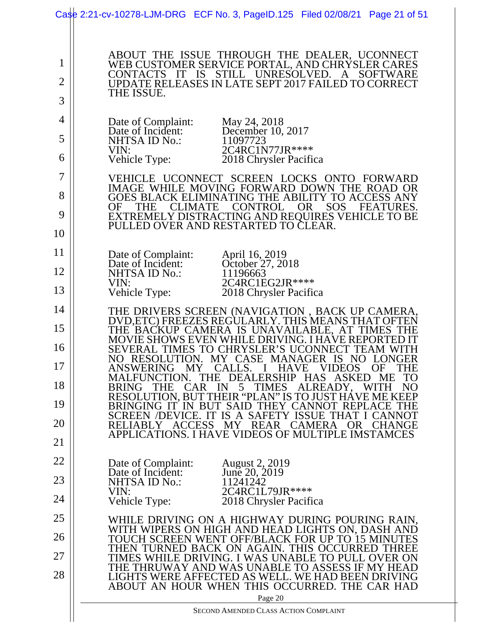|                          | Case 2:21-cv-10278-LJM-DRG ECF No. 3, PageID.125 Filed 02/08/21 Page 21 of 51                                                                                                                                                                 |
|--------------------------|-----------------------------------------------------------------------------------------------------------------------------------------------------------------------------------------------------------------------------------------------|
| 1<br>$\overline{2}$<br>3 | ABOUT THE ISSUE THROUGH THE DEALER, UCONNECT<br>WEB CUSTOMER SERVICE PORTAL, AND CHRYSLER CARES<br>UNRESOLVED.<br><b>STILL</b><br><b>SOFTWARE</b><br>CONTACTS<br>IS<br>A<br>UPDATE RELEASES IN LATE SEPT 2017 FAILED TO CORRECT<br>THE ISSUE. |
| 4                        | Date of Complaint:<br>May 24, 2018                                                                                                                                                                                                            |
| 5                        | Date of Incident:<br>December 10, 2017<br>NHTSA ID No.:<br>11097723                                                                                                                                                                           |
| 6                        | 2C4RC1N77JR****<br>VIN:<br>Vehicle Type:<br>2018 Chrysler Pacifica                                                                                                                                                                            |
| 7                        | UCONNECT SCREEN LOCKS ONTO<br>VEHICLE<br>FORWARD                                                                                                                                                                                              |
| 8                        | IMAGE WHILE MOVING FORWARD DOWN THE ROAD OR<br>GOES BLACK ELIMINATING THE ABILITY TO ACCESS ANY                                                                                                                                               |
| 9                        | <b>CONTROL</b><br><b>SOS</b><br><b>THE</b><br><b>CLIMATE</b><br><b>OR</b><br>OF<br><b>FEATURES.</b><br>EXTREMELY DISTRACTING AND REQUIRES VEHICLE TO BE                                                                                       |
| 10                       | PULLED OVER AND RESTARTED TO CLEAR.                                                                                                                                                                                                           |
| 11                       | Date of Complaint:<br>April 16, 2019                                                                                                                                                                                                          |
| 12                       | Date of Incident:<br>October 27, 2018<br>NHTSA ID No.:<br>11196663                                                                                                                                                                            |
| 13                       | 2C4RC1EG2JR****<br>VIN:<br>Vehicle Type:<br>2018 Chrysler Pacifica                                                                                                                                                                            |
| 14                       | THE DRIVERS SCREEN (NAVIGATION, BACK UP CAMERA, DVD,ETC) FREEZES REGULARLY. THIS MEANS THAT OFTEN                                                                                                                                             |
| 15                       | THE BACKUP CAMERA IS UNAVAILABLE, AT TIMES<br>MOVIE SHOWS EVEN WHILE DRIVING. I HAVE REPORTEI                                                                                                                                                 |
| 16                       | SEVERAL TIMES TO CHRYSLER'S UCONNECT<br><b>TEAM WITH</b><br>NO RESOLUTION. MY CASE MANAGER IS NO<br>LONGER                                                                                                                                    |
| 17                       | MY<br>CALLS.<br>VIDEOS<br><b>HAVE</b><br>ANSWERING<br>OF<br>THE<br>ASKED<br>THE DEALERSHIP HAS<br>TO<br><b>MALFUNCTION</b><br><b>ME</b>                                                                                                       |
| 18                       | NO <sub>1</sub><br>CAR<br>5<br><b>TIMES</b><br>ALREADY.<br><b>WITH</b><br><b>BRING</b><br>THE<br>IN<br>RESOLUTION, BUT THEIR "PLAN" IS TO JUST HÁVE ME KEEP                                                                                   |
| 19                       | HEY CANNOT REPLACE THE<br><b>SAI</b><br><b>BRINGING IT</b><br>IN BUT<br><b>SAFET</b><br>SCREEN /DEVICE.<br>IS<br><b>ISSUE</b><br>$\mathsf{A}$                                                                                                 |
| 20                       | <b>REAR</b><br><b>RELIABLY</b><br><b>ACCESS</b><br><b>CAMERA</b><br><b>CHANGE</b><br>МY<br>OR.<br>APPLICATIONS. I HAVE VIDEOS OF MULTIPLE IMSTAMCES                                                                                           |
| 21                       |                                                                                                                                                                                                                                               |
| 22                       | Date of Complaint:<br><b>August 2, 2019</b><br>June 20, 2019<br>Date of Incident:                                                                                                                                                             |
| 23                       | <b>NHTSA ID No.:</b><br>11241242<br>2C4RC1L79JR****<br>VIN:                                                                                                                                                                                   |
| 24                       | Vehicle Type:<br>2018 Chrysler Pacifica                                                                                                                                                                                                       |
| 25                       | WHILE DRIVING ON A HIGHWAY DURING POURING RAIN,<br>WITH WIPERS ON HIGH AND HEAD LIGHTS ON, DASH AND                                                                                                                                           |
| 26                       | TOUCH SCREEN WENT OFF/BLACK FOR UP TO 15 MINU<br>THEN TURNED BACK ON AGAIN. THIS OCCURRED<br><b>THREE</b>                                                                                                                                     |
| 27                       | TIMES WHILE DRIVING. I WAS UNABLE TO PUI<br>J. OVER ON<br>THE THRUWAY AND WAS UNABLE TO ASSESS IF MY HEAD                                                                                                                                     |
| 28                       | LIGHTS WERE AFFECTED AS WELL. WE HAD BEEN DRIVING<br>ABOUT AN HOUR WHEN THIS OCCURRED. THE CAR HAD<br>Page 20                                                                                                                                 |
|                          | SECOND AMENDED CLASS ACTION COMPLAINT                                                                                                                                                                                                         |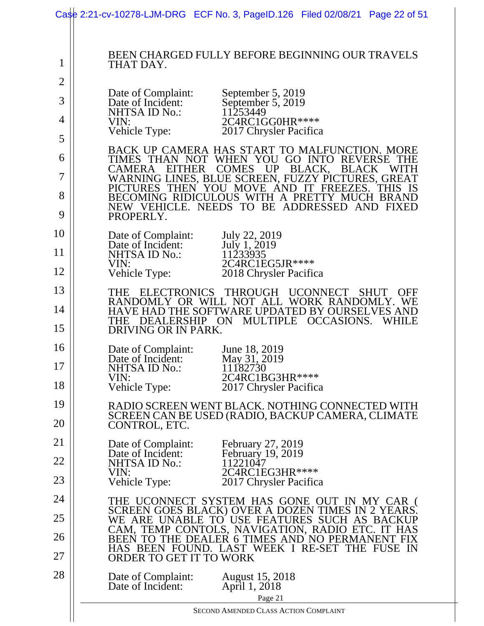|                | Case 2:21-cv-10278-LJM-DRG ECF No. 3, PageID.126 Filed 02/08/21 Page 22 of 51                                                                       |
|----------------|-----------------------------------------------------------------------------------------------------------------------------------------------------|
| $\mathbf{1}$   | <b>BEEN CHARGED FULLY BEFORE BEGINNING OUR TRAVELS</b><br>THAT DAY.                                                                                 |
| $\overline{2}$ | Date of Complaint:<br>September 5, 2019                                                                                                             |
| 3<br>4         | Date of Incident:<br>September 5, 2019<br>11253449<br>NHTSA ID No.:                                                                                 |
| 5              | 2C4RC1GG0HR****<br>VIN:<br>Vehicle Type:<br>2017 Chrysler Pacifica                                                                                  |
| 6              | BACK UP CAMERA HAS START TO MALFUNCTION. MORE<br>TIMES THAN NOT WHEN YOU GO INTO REVERSE                                                            |
| 7              | <b>COMES</b><br>UP BLACK,<br><b>BLACK</b><br><b>CAMERA</b><br><b>EITHER</b><br>WITH<br>WARNING LINES, BLUE SCREEN, FUZZY PICTURES, GREAT            |
| 8              | PICTURES THEN YOU MOVE AND IT FREEZES. THIS IS<br>BECOMING RIDICULOUS WITH A PRETTY MUCH BRAND                                                      |
| 9              | NEW VEHICLE. NEEDS TO BE ADDRESSED AND FIXED<br>PROPERLY.                                                                                           |
| 10             | Date of Complaint:<br>July 22, 2019<br>July 1, 2019<br>Date of Incident:                                                                            |
| 11             | 11233935<br>NHTSA ID No.:<br>2C4RC1EG5JR ****<br>VIN:                                                                                               |
| 12             | Vehicle Type:<br>2018 Chrysler Pacifica                                                                                                             |
| 13             | ELECTRONICS THROUGH UCONNECT<br>THE<br><b>SHUT</b><br><b>OFF</b><br>RANDOMLY OR WILL NOT ALL WORK RANDOMLY. WE                                      |
| 14<br>15       | HAVE HAD THE SOFTWARE UPDATED BY OURSELVES AND<br><b>MULTIPLE</b><br><b>OCCASIONS.</b><br>DEALERSHIP ON<br><b>WHILE</b><br>THE                      |
| 16             | DRIVING OR IN PARK.<br>June 18, 2019<br>Date of Complaint:                                                                                          |
| 17             | May 31, 2019<br>Date of Incident:<br>11182730<br>NHTSA ID No.:                                                                                      |
| 18             | VIN:<br>2C4RC1BG3HR****<br>Vehicle Type:<br>2017 Chrysler Pacifica                                                                                  |
| 19             | RADIO SCREEN WENT BLACK. NOTHING CONNECTED WITH                                                                                                     |
| 20             | SCREEN CAN BE USED (RADIO, BACKUP CAMERA, CLIMATE<br>CONTROL, ETC.                                                                                  |
| 21             | Date of Complaint:<br>February 27, 2019<br>February 19, 2019<br>Date of Incident:                                                                   |
| 22             | NHTSA ID No.:<br>11221047<br>VIN:<br>2C4RC1EG3HR****                                                                                                |
| 23             | Vehicle Type:<br>2017 Chrysler Pacifica                                                                                                             |
| 24<br>25       | THE UCONNECT SYSTEM HAS GONE OUT IN MY CAR (<br>SCREEN GOES BLACK) OVER A DOZEN TIMES IN 2 YEARS.                                                   |
| 26             | WE ARE UNABLE TO USE FEATURES SUCH AS BACKUP<br>CAM, TEMP CONTOLS, NAVIGATION, RADIO ETC. IT HAS<br>BEEN TO THE DEALER 6 TIMES AND NO PERMANENT FIX |
| 27             | HAS BEEN FOUND. LAST WEEK I RE-SET THE FUSE IN<br>ORDER TO GET IT TO WORK                                                                           |
| 28             | Date of Complaint:<br><b>August</b> 15, 2018<br>Date of Incident:<br>April 1, 2018                                                                  |
|                | Page 21<br>SECOND AMENDED CLASS ACTION COMPLAINT                                                                                                    |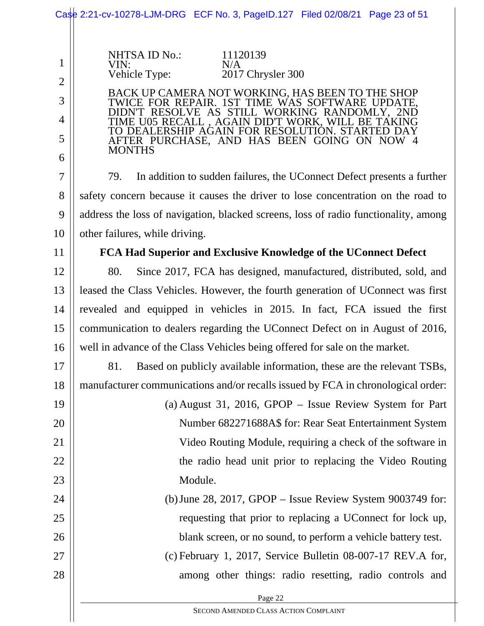|                | Case 2:21-cv-10278-LJM-DRG ECF No. 3, PageID.127 Filed 02/08/21 Page 23 of 51                        |  |  |
|----------------|------------------------------------------------------------------------------------------------------|--|--|
|                |                                                                                                      |  |  |
| $\mathbf{1}$   | <b>NHTSA ID No.:</b><br>11120139<br>VIN:<br>N/A                                                      |  |  |
| $\overline{2}$ | Vehicle Type:<br>2017 Chrysler 300                                                                   |  |  |
| 3              | BACK UP CAMERA NOT WORKING, HAS BEEN TO THE SHOP<br>TWICE FOR REPAIR. 1ST TIME WAS SOFTWARE UPDATE,  |  |  |
| 4              | DN'T RESOLVE AS STILL WORKING RANDOMLY, 2ND<br><b>IME U05 RECALL, AGAIN DID'T WORK, WILL BE TAKI</b> |  |  |
| 5              | TO DEALERSHIP AGAIN FOR RESOLUTIÓN. START<br>AFTER PURCHASE, AND HAS BEEN GOING ON NOW 4             |  |  |
| 6              | <b>MONTHS</b>                                                                                        |  |  |
| 7              | In addition to sudden failures, the UConnect Defect presents a further<br>79.                        |  |  |
| 8              | safety concern because it causes the driver to lose concentration on the road to                     |  |  |
| 9              | address the loss of navigation, blacked screens, loss of radio functionality, among                  |  |  |
| 10             | other failures, while driving.                                                                       |  |  |
| 11             | FCA Had Superior and Exclusive Knowledge of the UConnect Defect                                      |  |  |
| 12             | 80.<br>Since 2017, FCA has designed, manufactured, distributed, sold, and                            |  |  |
| 13             | leased the Class Vehicles. However, the fourth generation of UConnect was first                      |  |  |
| 14             | revealed and equipped in vehicles in 2015. In fact, FCA issued the first                             |  |  |
| 15             | communication to dealers regarding the UConnect Defect on in August of 2016,                         |  |  |
| 16             | well in advance of the Class Vehicles being offered for sale on the market.                          |  |  |
| 17             | Based on publicly available information, these are the relevant TSBs,<br>81.                         |  |  |
| 18             | manufacturer communications and/or recalls issued by FCA in chronological order:                     |  |  |
| 19             | (a) August 31, 2016, GPOP $-$ Issue Review System for Part                                           |  |  |
| 20             | Number 682271688A\$ for: Rear Seat Entertainment System                                              |  |  |
| 21             | Video Routing Module, requiring a check of the software in                                           |  |  |
| 22             | the radio head unit prior to replacing the Video Routing                                             |  |  |
| 23             | Module.                                                                                              |  |  |
| 24             | (b) June 28, 2017, GPOP $-$ Issue Review System 9003749 for:                                         |  |  |
| 25             | requesting that prior to replacing a UConnect for lock up,                                           |  |  |
| 26             | blank screen, or no sound, to perform a vehicle battery test.                                        |  |  |
| 27             | $(c)$ February 1, 2017, Service Bulletin 08-007-17 REV.A for,                                        |  |  |
| 28             | among other things: radio resetting, radio controls and                                              |  |  |
|                | Page 22                                                                                              |  |  |
|                | SECOND AMENDED CLASS ACTION COMPLAINT                                                                |  |  |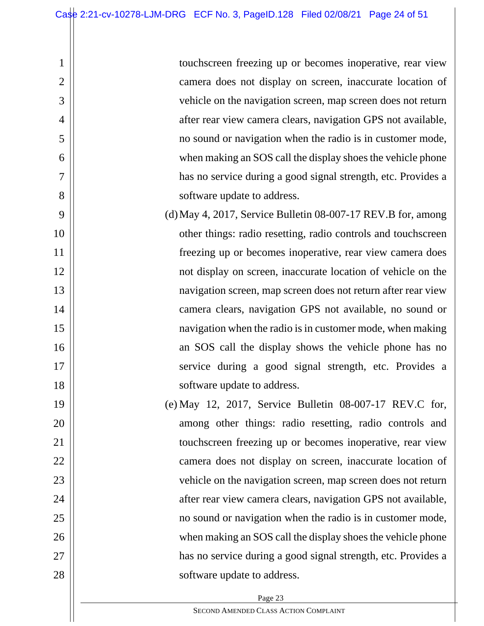2

3

4

5

6

7

8

19

20

21

22

23

24

25

26

27

28

touchscreen freezing up or becomes inoperative, rear view camera does not display on screen, inaccurate location of vehicle on the navigation screen, map screen does not return after rear view camera clears, navigation GPS not available, no sound or navigation when the radio is in customer mode, when making an SOS call the display shoes the vehicle phone has no service during a good signal strength, etc. Provides a software update to address.

- 9 10 11 12 13 14 15 16 17 18 (d)May 4, 2017, Service Bulletin 08-007-17 REV.B for, among other things: radio resetting, radio controls and touchscreen freezing up or becomes inoperative, rear view camera does not display on screen, inaccurate location of vehicle on the navigation screen, map screen does not return after rear view camera clears, navigation GPS not available, no sound or navigation when the radio is in customer mode, when making an SOS call the display shows the vehicle phone has no service during a good signal strength, etc. Provides a software update to address.
	- (e) May 12, 2017, Service Bulletin 08-007-17 REV.C for, among other things: radio resetting, radio controls and touchscreen freezing up or becomes inoperative, rear view camera does not display on screen, inaccurate location of vehicle on the navigation screen, map screen does not return after rear view camera clears, navigation GPS not available, no sound or navigation when the radio is in customer mode, when making an SOS call the display shoes the vehicle phone has no service during a good signal strength, etc. Provides a software update to address.

SECOND AMENDED CLASS ACTION COMPLAINT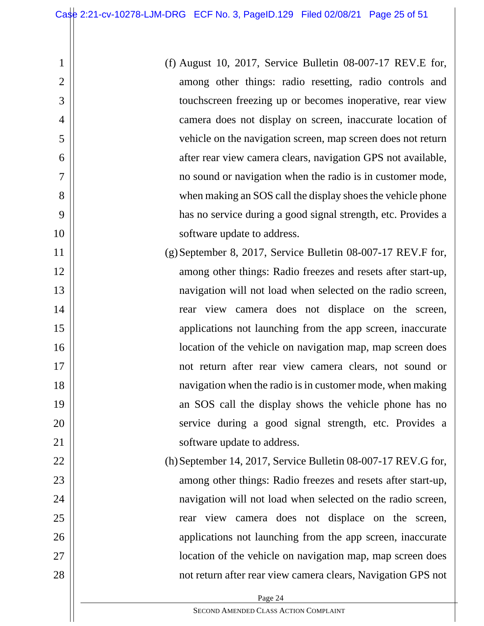2

3

4

5

6

7

8

9

10

22

23

24

25

26

27

28

(f) August 10, 2017, Service Bulletin 08-007-17 REV.E for, among other things: radio resetting, radio controls and touchscreen freezing up or becomes inoperative, rear view camera does not display on screen, inaccurate location of vehicle on the navigation screen, map screen does not return after rear view camera clears, navigation GPS not available, no sound or navigation when the radio is in customer mode, when making an SOS call the display shoes the vehicle phone has no service during a good signal strength, etc. Provides a software update to address.

- 11 12 13 14 15 16 17 18 19 20 21 (g)September 8, 2017, Service Bulletin 08-007-17 REV.F for, among other things: Radio freezes and resets after start-up, navigation will not load when selected on the radio screen, rear view camera does not displace on the screen, applications not launching from the app screen, inaccurate location of the vehicle on navigation map, map screen does not return after rear view camera clears, not sound or navigation when the radio is in customer mode, when making an SOS call the display shows the vehicle phone has no service during a good signal strength, etc. Provides a software update to address.
	- (h)September 14, 2017, Service Bulletin 08-007-17 REV.G for, among other things: Radio freezes and resets after start-up, navigation will not load when selected on the radio screen, rear view camera does not displace on the screen, applications not launching from the app screen, inaccurate location of the vehicle on navigation map, map screen does not return after rear view camera clears, Navigation GPS not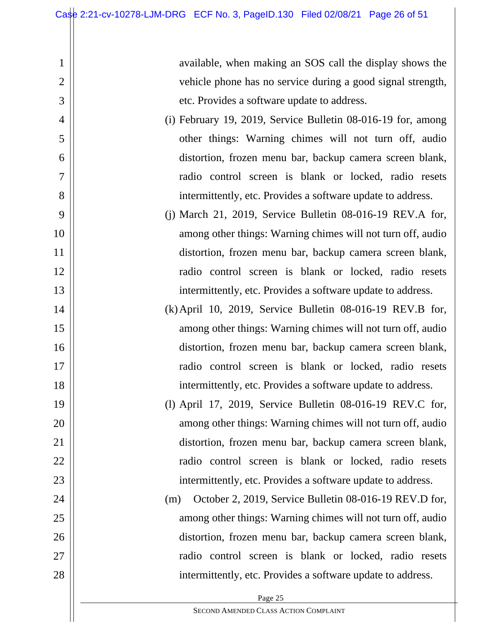2

3

4

5

6

7

8

9

10

11

12

13

14

15

16

17

18

19

20

21

22

23

24

25

26

27

28

available, when making an SOS call the display shows the vehicle phone has no service during a good signal strength, etc. Provides a software update to address.

- (i) February 19, 2019, Service Bulletin 08-016-19 for, among other things: Warning chimes will not turn off, audio distortion, frozen menu bar, backup camera screen blank, radio control screen is blank or locked, radio resets intermittently, etc. Provides a software update to address.
- (j) March 21, 2019, Service Bulletin 08-016-19 REV.A for, among other things: Warning chimes will not turn off, audio distortion, frozen menu bar, backup camera screen blank, radio control screen is blank or locked, radio resets intermittently, etc. Provides a software update to address.
- (k)April 10, 2019, Service Bulletin 08-016-19 REV.B for, among other things: Warning chimes will not turn off, audio distortion, frozen menu bar, backup camera screen blank, radio control screen is blank or locked, radio resets intermittently, etc. Provides a software update to address.
- (l) April 17, 2019, Service Bulletin 08-016-19 REV.C for, among other things: Warning chimes will not turn off, audio distortion, frozen menu bar, backup camera screen blank, radio control screen is blank or locked, radio resets intermittently, etc. Provides a software update to address.
- (m) October 2, 2019, Service Bulletin 08-016-19 REV.D for, among other things: Warning chimes will not turn off, audio distortion, frozen menu bar, backup camera screen blank, radio control screen is blank or locked, radio resets intermittently, etc. Provides a software update to address.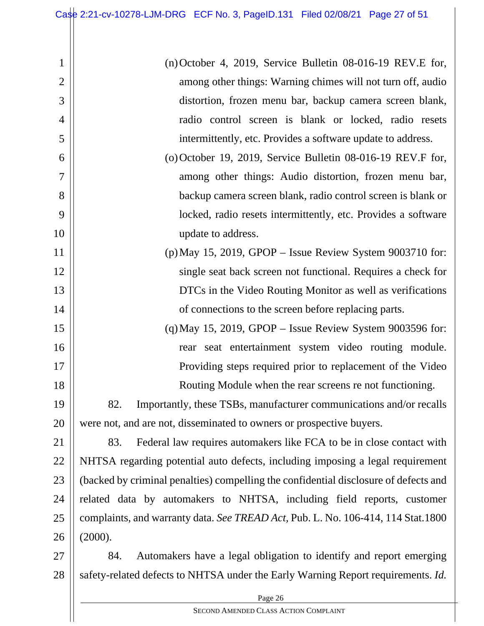15

16

17

18

2 3 4 5 (n)October 4, 2019, Service Bulletin 08-016-19 REV.E for, among other things: Warning chimes will not turn off, audio distortion, frozen menu bar, backup camera screen blank, radio control screen is blank or locked, radio resets intermittently, etc. Provides a software update to address. (o)October 19, 2019, Service Bulletin 08-016-19 REV.F for,

- 6 7 8 9 10 among other things: Audio distortion, frozen menu bar, backup camera screen blank, radio control screen is blank or locked, radio resets intermittently, etc. Provides a software update to address.
- 11 12 13 14 (p)May 15, 2019, GPOP – Issue Review System 9003710 for: single seat back screen not functional. Requires a check for DTCs in the Video Routing Monitor as well as verifications of connections to the screen before replacing parts.
	- (q)May 15, 2019, GPOP Issue Review System 9003596 for: rear seat entertainment system video routing module. Providing steps required prior to replacement of the Video Routing Module when the rear screens re not functioning.

19 20 82. Importantly, these TSBs, manufacturer communications and/or recalls were not, and are not, disseminated to owners or prospective buyers.

21 22 23 24 25 26 83. Federal law requires automakers like FCA to be in close contact with NHTSA regarding potential auto defects, including imposing a legal requirement (backed by criminal penalties) compelling the confidential disclosure of defects and related data by automakers to NHTSA, including field reports, customer complaints, and warranty data. *See TREAD Act,* Pub. L. No. 106-414, 114 Stat.1800 (2000).

27 28 84. Automakers have a legal obligation to identify and report emerging safety-related defects to NHTSA under the Early Warning Report requirements. *Id.* 

Page 26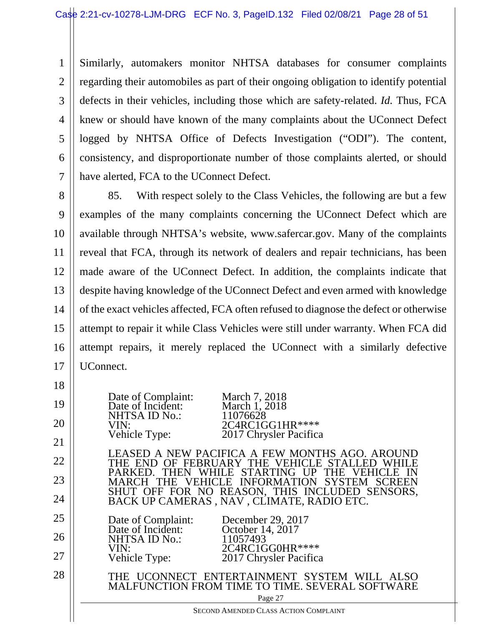1 2 3 4 5 6 7 Similarly, automakers monitor NHTSA databases for consumer complaints regarding their automobiles as part of their ongoing obligation to identify potential defects in their vehicles, including those which are safety-related. *Id.* Thus, FCA knew or should have known of the many complaints about the UConnect Defect logged by NHTSA Office of Defects Investigation ("ODI"). The content, consistency, and disproportionate number of those complaints alerted, or should have alerted, FCA to the UConnect Defect.

8 9 10 11 12 13 14 15 16 17 85. With respect solely to the Class Vehicles, the following are but a few examples of the many complaints concerning the UConnect Defect which are available through NHTSA's website, www.safercar.gov. Many of the complaints reveal that FCA, through its network of dealers and repair technicians, has been made aware of the UConnect Defect. In addition, the complaints indicate that despite having knowledge of the UConnect Defect and even armed with knowledge of the exact vehicles affected, FCA often refused to diagnose the defect or otherwise attempt to repair it while Class Vehicles were still under warranty. When FCA did attempt repairs, it merely replaced the UConnect with a similarly defective UConnect.

Page 27 SECOND AMENDED CLASS ACTION COMPLAINT 18 19 20 21 22 23 24 25 26 27 28 Date of Complaint: March 7, 2018<br>Date of Incident: March 1, 2018 Date of Incident: March 1, 2<br>NHTSA ID No.: 11076628 NHTSA ID No.:<br>VIN: VIN: 2C4RC1GG1HR\*\*\*\*<br>Vehicle Type: 2017 Chrysler Pacifica 2017 Chrysler Pacifica LEASED A NEW PACIFICA A FEW MONTHS AGO. AROUND THE END OF FEBRUARY THE VEHICLE STALLED WHILE PARKED. THEN WHILE STARTING UP THE VEHICLE IN MARCH THE VEHICLE INFORMATION SYSTEM SCREEN SHUT OFF FOR NO REASON, THIS INCLUDED SENSORS, BACK UP CAMERAS , NAV , CLIMATE, RADIO ETC. Date of Complaint: December 29, 2017<br>Date of Incident: October 14, 2017 October 14, 2017<br>11057493 NHTSA ID No.: VIN:<br>Vehicle Type: 2017 Chrysler Pacifica 2017 Chrysler Pacifica THE UCONNECT ENTERTAINMENT SYSTEM WILL ALSO MALFUNCTION FROM TIME TO TIME. SEVERAL SOFTWARE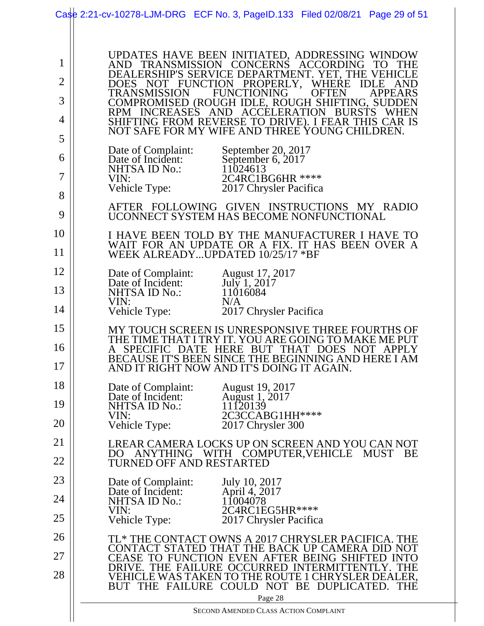|                                                         | Case 2:21-cv-10278-LJM-DRG ECF No. 3, PageID.133 Filed 02/08/21 Page 29 of 51                                                                                                                                                                                                                                                                                                                                                                                                                                                                                                                                                                                                                                               |
|---------------------------------------------------------|-----------------------------------------------------------------------------------------------------------------------------------------------------------------------------------------------------------------------------------------------------------------------------------------------------------------------------------------------------------------------------------------------------------------------------------------------------------------------------------------------------------------------------------------------------------------------------------------------------------------------------------------------------------------------------------------------------------------------------|
| $\mathbf{1}$<br>$\overline{2}$<br>3<br>4<br>5<br>6<br>7 | UPDATES HAVE BEEN INITIATED, ADDRESSING WINDOW<br>AND TRANSMISSION CONCERNS<br>ACCORDING<br>TO <sub>1</sub><br>DEALERSHIP'S SERVICE DEPARTMENT. YET, THE VEHICLE<br>DOES NOT FUNCTION PROPERLY,<br><b>WHERE</b><br><b>IDLE</b><br>AND<br><b>TRANSMISSION</b><br><b>FUNCTIONING</b><br><b>OFTEN</b><br>APPEARS<br>COMPROMISED (ROUGH IDLE, ROUGH SHIFTING, SUDDEN<br>RPM INCREASES AND ACCELERATION BURSTS<br><b>WHEN</b><br>SHIFTING FROM REVERSE TO DRIVE). I FEAR THIS CAR IS<br>NOT SAFE FOR MY WIFE AND THREE YOUNG CHILDREN.<br>Date of Complaint:<br>September 20, 2017<br>September 6, 2017<br>Date of Incident:<br>NHTSA ID No.:<br>11024613<br>2C4RC1BG6HR ****<br>VIN:<br>Vehicle Type:<br>2017 Chrysler Pacifica |
| 8                                                       | AFTER FOLLOWING GIVEN INSTRUCTIONS MY RADIO                                                                                                                                                                                                                                                                                                                                                                                                                                                                                                                                                                                                                                                                                 |
| 9                                                       | UCONNECT SYSTEM HAS BECOME NONFUNCTIONAL                                                                                                                                                                                                                                                                                                                                                                                                                                                                                                                                                                                                                                                                                    |
| 10<br>11                                                | I HAVE BEEN TOLD BY THE MANUFACTURER I HAVE TO<br>WAIT FOR AN UPDATE OR A FIX. IT HAS BEEN OVER A<br>WEEK ALREADYUPDATED 10/25/17 *BF                                                                                                                                                                                                                                                                                                                                                                                                                                                                                                                                                                                       |
| 12                                                      | Date of Complaint:<br><b>August 17, 2017</b>                                                                                                                                                                                                                                                                                                                                                                                                                                                                                                                                                                                                                                                                                |
| 13                                                      | July 1, 2017<br>Date of Incident:<br><b>NHTSA ID No.:</b><br>11016084                                                                                                                                                                                                                                                                                                                                                                                                                                                                                                                                                                                                                                                       |
| 14                                                      | VIN:<br>N/A<br>Vehicle Type:<br>2017 Chrysler Pacifica                                                                                                                                                                                                                                                                                                                                                                                                                                                                                                                                                                                                                                                                      |
| 15                                                      | MY TOUCH SCREEN IS UNRESPONSIVE THREE FOURTHS OF                                                                                                                                                                                                                                                                                                                                                                                                                                                                                                                                                                                                                                                                            |
| 16<br>17                                                | THE TIME THAT I TRY IT. YOU ARE GOING TO MAKE ME PUT<br><b>DATE HERE</b><br><b>BUT</b><br><b>THAT</b><br>DOES NOT<br><b>SPECIFIC</b><br>APPLY<br>BECAUSE IT'S BEEN SINCE THE BEGINNING AND HERE I AM<br>AND IT RIGHT NOW AND IT'S DOING IT AGAIN.                                                                                                                                                                                                                                                                                                                                                                                                                                                                           |
| 18                                                      | Date of Complaint:<br>August 19, 2017                                                                                                                                                                                                                                                                                                                                                                                                                                                                                                                                                                                                                                                                                       |
| 19                                                      | August 1, 2017<br>Date of Incident:<br>11120139<br>NHTSA ID No.:                                                                                                                                                                                                                                                                                                                                                                                                                                                                                                                                                                                                                                                            |
| 20                                                      | 2C3CCABG1HH****<br>VIN:<br>Vehicle Type:<br>2017 Chrysler 300                                                                                                                                                                                                                                                                                                                                                                                                                                                                                                                                                                                                                                                               |
| 21                                                      | LREAR CAMERA LOCKS UP ON SCREEN AND YOU CAN NOT                                                                                                                                                                                                                                                                                                                                                                                                                                                                                                                                                                                                                                                                             |
| 22                                                      | DO ANYTHING WITH<br>COMPUTER, VEHICLE MUST<br><b>BE</b><br>TURNED OFF AND RESTARTED                                                                                                                                                                                                                                                                                                                                                                                                                                                                                                                                                                                                                                         |
| 23                                                      | July 10, 2017<br>Date of Complaint:                                                                                                                                                                                                                                                                                                                                                                                                                                                                                                                                                                                                                                                                                         |
| 24                                                      | April 4, 2017<br>Date of Incident:<br>11004078<br><b>NHTSA ID No.:</b>                                                                                                                                                                                                                                                                                                                                                                                                                                                                                                                                                                                                                                                      |
| 25                                                      | 2C4RC1EG5HR ****<br>VIN:<br>Vehicle Type:<br>2017 Chrysler Pacifica                                                                                                                                                                                                                                                                                                                                                                                                                                                                                                                                                                                                                                                         |
| 26                                                      | TL* THE CONTACT OWNS A 2017 CHRYSLER PACIFICA. THE                                                                                                                                                                                                                                                                                                                                                                                                                                                                                                                                                                                                                                                                          |
| 27                                                      | CONTACT STATED THAT THE BACK UP CAMERA DID NOT<br>CEASE TO FUNCTION EVEN AFTER BEING SHIFTED INTO                                                                                                                                                                                                                                                                                                                                                                                                                                                                                                                                                                                                                           |
| 28                                                      | DRIVE. THE FAILURE OCCURRED INTERMITTENTLY. THE<br>VEHICLE WAS TAKEN TO THE ROUTE 1 CHRYSLER DEALER,<br>BUT THE FAILURE COULD NOT BE DUPLICATED.<br><b>THE</b><br>Page 28                                                                                                                                                                                                                                                                                                                                                                                                                                                                                                                                                   |
|                                                         | SECOND AMENDED CLASS ACTION COMPLAINT                                                                                                                                                                                                                                                                                                                                                                                                                                                                                                                                                                                                                                                                                       |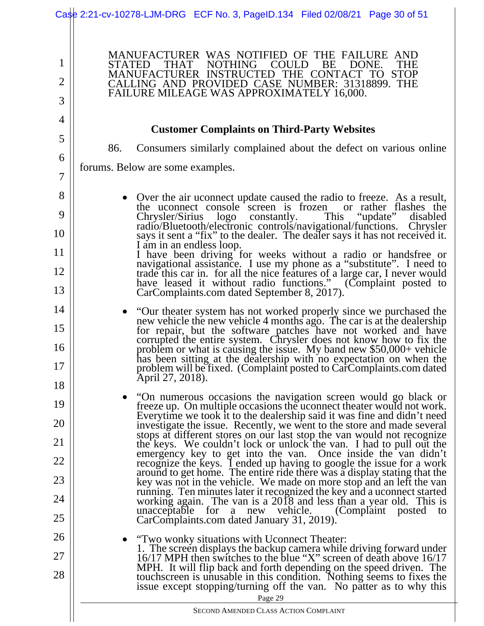Page 29 1 2 3 4 5 6 7 8 9 10 11 12 13 14 15 16 17 18 19 20 21 22 23 24 25 26 27 28 MANUFACTURER WAS NOTIFIED OF THE FAILURE AND STATED THAT NOTHING COULD BE DONE. THE MANUFACTURER INSTRUCTED THE CONTACT TO STOP CALLING AND PROVIDED CASE NUMBER: 31318899. THE FAILURE MILEAGE WAS APPROXIMATELY 16,000. **Customer Complaints on Third-Party Websites**  86. Consumers similarly complained about the defect on various online forums. Below are some examples. Over the air uconnect update caused the radio to freeze. As a result, the uconnect console screen is frozen or rather flashes the Chrysler/Sirius logo constantly. This "update" disabled radio/Bluetooth/electronic controls/navigational/functions. Chrysler says it sent a "fix" to the dealer. The dealer says it has not received it. says it sent a "fix" to the dealer. The dealer says it has not received it.<br>I am in an endless loop. I have been driving for weeks without a radio or handsfree or navigational assistance. I use my phone as a "substitute". I need to trade this car in. for all the nice features of a large car, I never would have leased it without radio functions." (Complaint posted to CarComplaints.com dated September 8, 2017). "Our theater system has not worked properly since we purchased the new vehicle the new vehicle 4 months ago. The car is at the dealership for repair, but the software patches have not worked and have corrupted the entire system. Chrysler does not know how to fix the problem or what is causing the issue. My band new \$50,000+ vehicle has been sitting at the dealership with no expectation on when the problem will be fixed. (Complaint posted to CarComplaints.com dated April 27, 2018). "On numerous occasions the navigation screen would go black or freeze up. On multiple occasions the uconnect theater would not work. Everytime we took it to the dealership said it was fine and didn't need investigate the issue. Recently, we went to the store and made several investigate the issue. Recently, we went to the store and made several<br>stops at different stores on our last stop the van would not recognize<br>the keys. We couldn't lock or unlock the van. I had to pull out the<br>emergency ke recognize the keys. I ended up having to google the issue for a work<br>around to get home. The entire ride there was a display stating that the<br>key was not in the vehicle. We made on more stop and an left the van<br>running. Te working again. The van is a 2018 and less than a year old. This is unacceptable for a new vehicle. (Complaint posted to CarComplaints.com dated January 31, 2019). "Two wonky situations with Uconnect Theater: 1. The screen displays the backup camera while driving forward under 16/17 MPH then switches to the blue "X" screen of death above 16/17 MPH. It will flip back and forth depending on the speed driven. The touchscreen is unusable in this condition. Nothing seems to fixes the issue except stopping/turning off the van. No patter as to why this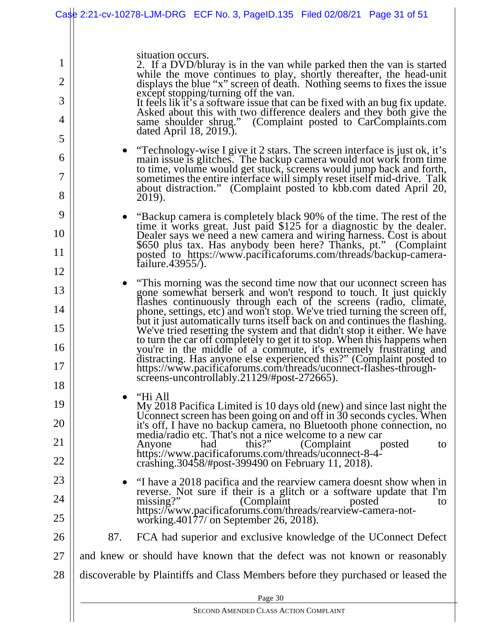|                                                                                                              | Case 2:21-cv-10278-LJM-DRG ECF No. 3, PageID.135 Filed 02/08/21 Page 31 of 51                                                                                                                                                                                                                                                                                                                                                                                                                                                                                                                                                                                                                                                                                                                                                                                                                                                                                                                                                                                                                                                                                                                                                                                                                                                                                                                                                                                                                                                                                                                                                                                                                                                                                                                                                                                                                                                                                                                                                                                                                                                           |
|--------------------------------------------------------------------------------------------------------------|-----------------------------------------------------------------------------------------------------------------------------------------------------------------------------------------------------------------------------------------------------------------------------------------------------------------------------------------------------------------------------------------------------------------------------------------------------------------------------------------------------------------------------------------------------------------------------------------------------------------------------------------------------------------------------------------------------------------------------------------------------------------------------------------------------------------------------------------------------------------------------------------------------------------------------------------------------------------------------------------------------------------------------------------------------------------------------------------------------------------------------------------------------------------------------------------------------------------------------------------------------------------------------------------------------------------------------------------------------------------------------------------------------------------------------------------------------------------------------------------------------------------------------------------------------------------------------------------------------------------------------------------------------------------------------------------------------------------------------------------------------------------------------------------------------------------------------------------------------------------------------------------------------------------------------------------------------------------------------------------------------------------------------------------------------------------------------------------------------------------------------------------|
| 1<br>$\overline{2}$<br>3<br>4<br>5<br>6<br>7<br>8<br>9<br>10<br>11<br>12<br>13<br>14<br>15<br>16<br>17<br>18 | situation occurs.<br>2. If a DVD/bluray is in the van while parked then the van is started<br>while the move continues to play, shortly thereafter, the head-unit displays the blue "x" screen of death. Nothing seems to fixes the issue<br>except stopping/turning off the van.<br>It feels lik it's a software issue that can be fixed with an bug fix update.<br>Asked about this with two difference dealers and they both give the<br>same shoulder shrug." (Complaint posted to CarComplaints.com<br>dated April 18, 2019.).<br>• "Technology-wise I give it 2 stars. The screen interface is just ok, it's<br>main issue is glitches. The backup camera would not work from time<br>to time, volume would get stuck, screens would jump back and forth,<br>sometimes the entire interface will simply reset itself mid-drive. Talk<br>about distraction." (Complaint posted to kbb.com dated April 20,<br>2019).<br>"Backup camera is completely black 90% of the time. The rest of the<br>$\bullet$<br>time it works great. Just paid \$125 for a diagnostic by the dealer.<br>Dealer says we need a new camera and wiring harness. Cost is about<br>\$650 plus tax. Has anybody been here? Thanks, pt." (Complaint<br>posted to https://www.pacificaforums.com/threads/backup-camera-<br>failure. $43955/$ ).<br>"This morning was the second time now that our uconnect screen has<br>$\bullet$<br>gone somewhat berserk and won't respond to touch. It just quickly<br>flashes continuously through each of the screens (radio, climate,<br>phone, settings, etc) and won't stop. We've tried turning the screen off,<br>but it just automatically turns itself back on and continues the flashing.<br>We've tried resetting the system and that didn't stop it either. We have<br>to turn the car off completely to get it to stop. When this happens when<br>you're in the middle of a commute, it's extremely frustrating and<br>distracting. Has anyone else experienced this?" (Complaint posted to<br>https://www.pacificaforums.com/threads/uconnect-flashes-through-<br>screens-uncontrollably.21129/#post-272665). |
| 19<br>20<br>21<br>22<br>23<br>24<br>25<br>26                                                                 | "Hi All<br>$\bullet$<br>My 2018 Pacifica Limited is 10 days old (new) and since last night the<br>Uconnect screen has been going on and off in 30 seconds cycles. When<br>it's off, I have no backup camera, no Bluetooth phone connection, no<br>media/radio etc. That's not a nice welcome to a new car<br>this?"<br>had<br>(Complaint)<br>Anyone<br>posted<br>to<br>https://www.pacificaforums.com/threads/uconnect-8-4-<br>crashing.30458/#post-399490 on February 11, 2018).<br>"I have a 2018 pacifica and the rearview camera doesnt show when in<br>$\bullet$<br>reverse. Not sure if their is a glitch or a software update that I'm<br>$missing$ ?"<br>(Complaint)<br>posted<br>to<br>https://www.pacificaforums.com/threads/rearview-camera-not-<br>working.40177/ on September 26, 2018).<br>87.                                                                                                                                                                                                                                                                                                                                                                                                                                                                                                                                                                                                                                                                                                                                                                                                                                                                                                                                                                                                                                                                                                                                                                                                                                                                                                                            |
| 27                                                                                                           | FCA had superior and exclusive knowledge of the UConnect Defect<br>and knew or should have known that the defect was not known or reasonably                                                                                                                                                                                                                                                                                                                                                                                                                                                                                                                                                                                                                                                                                                                                                                                                                                                                                                                                                                                                                                                                                                                                                                                                                                                                                                                                                                                                                                                                                                                                                                                                                                                                                                                                                                                                                                                                                                                                                                                            |
| 28                                                                                                           | discoverable by Plaintiffs and Class Members before they purchased or leased the                                                                                                                                                                                                                                                                                                                                                                                                                                                                                                                                                                                                                                                                                                                                                                                                                                                                                                                                                                                                                                                                                                                                                                                                                                                                                                                                                                                                                                                                                                                                                                                                                                                                                                                                                                                                                                                                                                                                                                                                                                                        |
|                                                                                                              | Page 30                                                                                                                                                                                                                                                                                                                                                                                                                                                                                                                                                                                                                                                                                                                                                                                                                                                                                                                                                                                                                                                                                                                                                                                                                                                                                                                                                                                                                                                                                                                                                                                                                                                                                                                                                                                                                                                                                                                                                                                                                                                                                                                                 |
|                                                                                                              | SECOND AMENDED CLASS ACTION COMPLAINT                                                                                                                                                                                                                                                                                                                                                                                                                                                                                                                                                                                                                                                                                                                                                                                                                                                                                                                                                                                                                                                                                                                                                                                                                                                                                                                                                                                                                                                                                                                                                                                                                                                                                                                                                                                                                                                                                                                                                                                                                                                                                                   |
|                                                                                                              |                                                                                                                                                                                                                                                                                                                                                                                                                                                                                                                                                                                                                                                                                                                                                                                                                                                                                                                                                                                                                                                                                                                                                                                                                                                                                                                                                                                                                                                                                                                                                                                                                                                                                                                                                                                                                                                                                                                                                                                                                                                                                                                                         |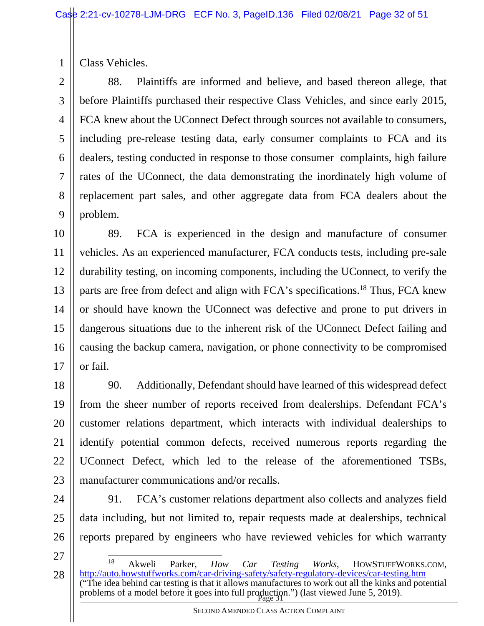Class Vehicles.

1

2 3 4 5 6 7 8 9 88. Plaintiffs are informed and believe, and based thereon allege, that before Plaintiffs purchased their respective Class Vehicles, and since early 2015, FCA knew about the UConnect Defect through sources not available to consumers, including pre-release testing data, early consumer complaints to FCA and its dealers, testing conducted in response to those consumer complaints, high failure rates of the UConnect, the data demonstrating the inordinately high volume of replacement part sales, and other aggregate data from FCA dealers about the problem.

10 11 12 13 14 15 16 17 89. FCA is experienced in the design and manufacture of consumer vehicles. As an experienced manufacturer, FCA conducts tests, including pre-sale durability testing, on incoming components, including the UConnect, to verify the parts are free from defect and align with FCA's specifications.<sup>18</sup> Thus, FCA knew or should have known the UConnect was defective and prone to put drivers in dangerous situations due to the inherent risk of the UConnect Defect failing and causing the backup camera, navigation, or phone connectivity to be compromised or fail.

18 19 20 21 22 23 90. Additionally, Defendant should have learned of this widespread defect from the sheer number of reports received from dealerships. Defendant FCA's customer relations department, which interacts with individual dealerships to identify potential common defects, received numerous reports regarding the UConnect Defect, which led to the release of the aforementioned TSBs, manufacturer communications and/or recalls.

24 25 26 91. FCA's customer relations department also collects and analyzes field data including, but not limited to, repair requests made at dealerships, technical reports prepared by engineers who have reviewed vehicles for which warranty

27

problems of a model before it goes into full production.") (last viewed June 5, 2019). 28 18 Akweli Parker, *How Car Testing Works*, HOWSTUFFWORKS.COM, http://auto.howstuffworks.com/car-driving-safety/safety-regulatory-devices/car-testing.htm ("The idea behind car testing is that it allows manufactures to work out all the kinks and potential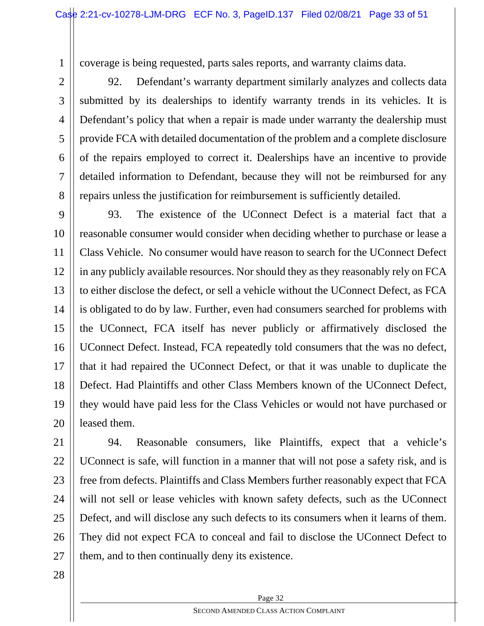coverage is being requested, parts sales reports, and warranty claims data.

repairs unless the justification for reimbursement is sufficiently detailed.

92. Defendant's warranty department similarly analyzes and collects data submitted by its dealerships to identify warranty trends in its vehicles. It is Defendant's policy that when a repair is made under warranty the dealership must provide FCA with detailed documentation of the problem and a complete disclosure of the repairs employed to correct it. Dealerships have an incentive to provide detailed information to Defendant, because they will not be reimbursed for any

9 10 11 12 13 14 15 16 17 18 19 20 93. The existence of the UConnect Defect is a material fact that a reasonable consumer would consider when deciding whether to purchase or lease a Class Vehicle. No consumer would have reason to search for the UConnect Defect in any publicly available resources. Nor should they as they reasonably rely on FCA to either disclose the defect, or sell a vehicle without the UConnect Defect, as FCA is obligated to do by law. Further, even had consumers searched for problems with the UConnect, FCA itself has never publicly or affirmatively disclosed the UConnect Defect. Instead, FCA repeatedly told consumers that the was no defect, that it had repaired the UConnect Defect, or that it was unable to duplicate the Defect. Had Plaintiffs and other Class Members known of the UConnect Defect, they would have paid less for the Class Vehicles or would not have purchased or leased them.

21 22 23 24 25 26 27 94. Reasonable consumers, like Plaintiffs, expect that a vehicle's UConnect is safe, will function in a manner that will not pose a safety risk, and is free from defects. Plaintiffs and Class Members further reasonably expect that FCA will not sell or lease vehicles with known safety defects, such as the UConnect Defect, and will disclose any such defects to its consumers when it learns of them. They did not expect FCA to conceal and fail to disclose the UConnect Defect to them, and to then continually deny its existence.

28

1

2

3

4

5

6

7

8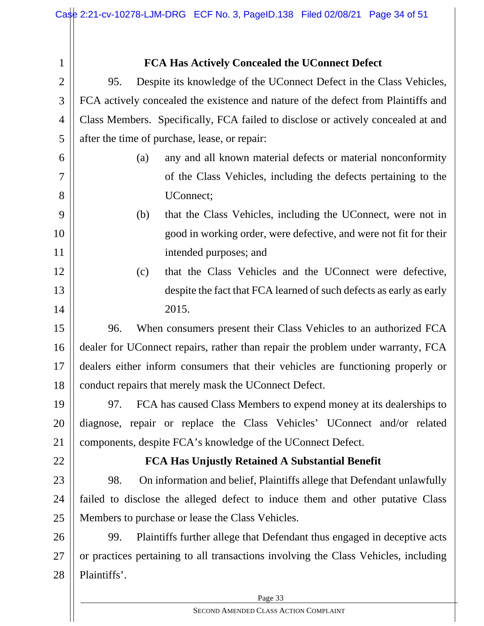| $\mathbf{1}$   | FCA Has Actively Concealed the UConnect Defect                                      |  |  |
|----------------|-------------------------------------------------------------------------------------|--|--|
| $\overline{2}$ | Despite its knowledge of the UConnect Defect in the Class Vehicles,<br>95.          |  |  |
| 3              | FCA actively concealed the existence and nature of the defect from Plaintiffs and   |  |  |
| 4              | Class Members. Specifically, FCA failed to disclose or actively concealed at and    |  |  |
| 5              | after the time of purchase, lease, or repair:                                       |  |  |
| 6              | any and all known material defects or material nonconformity<br>(a)                 |  |  |
| $\overline{7}$ | of the Class Vehicles, including the defects pertaining to the                      |  |  |
| 8              | UConnect;                                                                           |  |  |
| 9              | that the Class Vehicles, including the UConnect, were not in<br>(b)                 |  |  |
| 10             | good in working order, were defective, and were not fit for their                   |  |  |
| 11             | intended purposes; and                                                              |  |  |
| 12             | that the Class Vehicles and the UConnect were defective,<br>(c)                     |  |  |
| 13             | despite the fact that FCA learned of such defects as early as early                 |  |  |
| 14             | 2015.                                                                               |  |  |
| 15             | When consumers present their Class Vehicles to an authorized FCA<br>96.             |  |  |
| 16             | dealer for UConnect repairs, rather than repair the problem under warranty, FCA     |  |  |
| 17             | dealers either inform consumers that their vehicles are functioning properly or     |  |  |
| 18             | conduct repairs that merely mask the UConnect Defect.                               |  |  |
| 19             | FCA has caused Class Members to expend money at its dealerships to<br>97.           |  |  |
| 20             | diagnose, repair or replace the Class Vehicles' UConnect and/or related             |  |  |
| 21             | components, despite FCA's knowledge of the UConnect Defect.                         |  |  |
| 22             | FCA Has Unjustly Retained A Substantial Benefit                                     |  |  |
| 23             | On information and belief, Plaintiffs allege that Defendant unlawfully<br>98.       |  |  |
| 24             | failed to disclose the alleged defect to induce them and other putative Class       |  |  |
| 25             | Members to purchase or lease the Class Vehicles.                                    |  |  |
| 26             | Plaintiffs further allege that Defendant thus engaged in deceptive acts<br>99.      |  |  |
| 27             | or practices pertaining to all transactions involving the Class Vehicles, including |  |  |
| 28             | Plaintiffs'.                                                                        |  |  |
|                | Page 33                                                                             |  |  |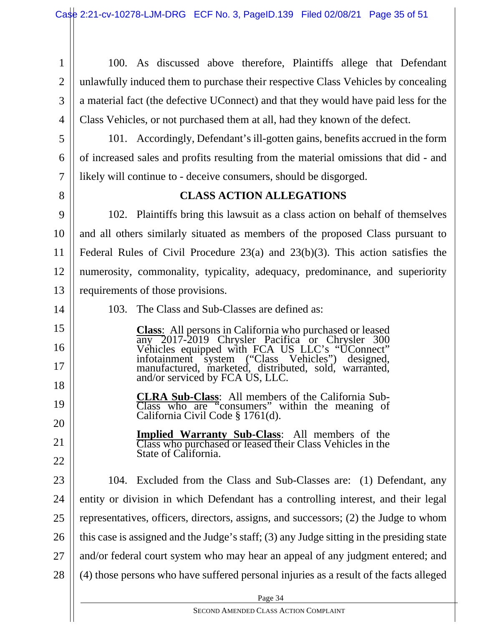1 2 3 4 100. As discussed above therefore, Plaintiffs allege that Defendant unlawfully induced them to purchase their respective Class Vehicles by concealing a material fact (the defective UConnect) and that they would have paid less for the Class Vehicles, or not purchased them at all, had they known of the defect.

101. Accordingly, Defendant's ill-gotten gains, benefits accrued in the form of increased sales and profits resulting from the material omissions that did - and likely will continue to - deceive consumers, should be disgorged.

8

14

15

16

17

18

19

20

21

22

5

6

7

#### **CLASS ACTION ALLEGATIONS**

9 10 11 12 13 102. Plaintiffs bring this lawsuit as a class action on behalf of themselves and all others similarly situated as members of the proposed Class pursuant to Federal Rules of Civil Procedure 23(a) and 23(b)(3). This action satisfies the numerosity, commonality, typicality, adequacy, predominance, and superiority requirements of those provisions.

103. The Class and Sub-Classes are defined as:

**Class**: All persons in California who purchased or leased any 2017-2019 Chrysler Pacifica or Chrysler 300 Vehicles equipped with FCA US LLC's "UConnect" infotainment system ("Class Vehicles") designed, manufactured, marketed, distributed, sold, warranted, and/or serviced by FCA US, LLC.

> **CLRA Sub-Class**: All members of the California Sub-Class who are "consumers" within the meaning of California Civil Code § 1761(d).

**Implied Warranty Sub-Class**: All members of the Class who purchased or leased their Class Vehicles in the State of California.

23 24 25 26 27 28 104. Excluded from the Class and Sub-Classes are: (1) Defendant, any entity or division in which Defendant has a controlling interest, and their legal representatives, officers, directors, assigns, and successors; (2) the Judge to whom this case is assigned and the Judge's staff; (3) any Judge sitting in the presiding state and/or federal court system who may hear an appeal of any judgment entered; and (4) those persons who have suffered personal injuries as a result of the facts alleged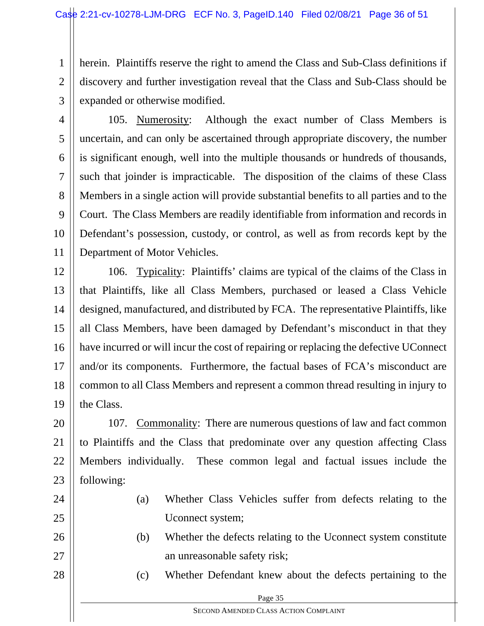1 2 3 herein. Plaintiffs reserve the right to amend the Class and Sub-Class definitions if discovery and further investigation reveal that the Class and Sub-Class should be expanded or otherwise modified.

4 5 6 7 8 9 10 11 105. Numerosity: Although the exact number of Class Members is uncertain, and can only be ascertained through appropriate discovery, the number is significant enough, well into the multiple thousands or hundreds of thousands, such that joinder is impracticable. The disposition of the claims of these Class Members in a single action will provide substantial benefits to all parties and to the Court. The Class Members are readily identifiable from information and records in Defendant's possession, custody, or control, as well as from records kept by the Department of Motor Vehicles.

12 13 14 15 16 17 18 19 106. Typicality: Plaintiffs' claims are typical of the claims of the Class in that Plaintiffs, like all Class Members, purchased or leased a Class Vehicle designed, manufactured, and distributed by FCA. The representative Plaintiffs, like all Class Members, have been damaged by Defendant's misconduct in that they have incurred or will incur the cost of repairing or replacing the defective UConnect and/or its components. Furthermore, the factual bases of FCA's misconduct are common to all Class Members and represent a common thread resulting in injury to the Class.

20 21 22 23 107. Commonality: There are numerous questions of law and fact common to Plaintiffs and the Class that predominate over any question affecting Class Members individually. These common legal and factual issues include the following:

24

25

26

27

28

- (a) Whether Class Vehicles suffer from defects relating to the Uconnect system;
- (b) Whether the defects relating to the Uconnect system constitute an unreasonable safety risk;
	- (c) Whether Defendant knew about the defects pertaining to the

|  | Page 35 |
|--|---------|
|  |         |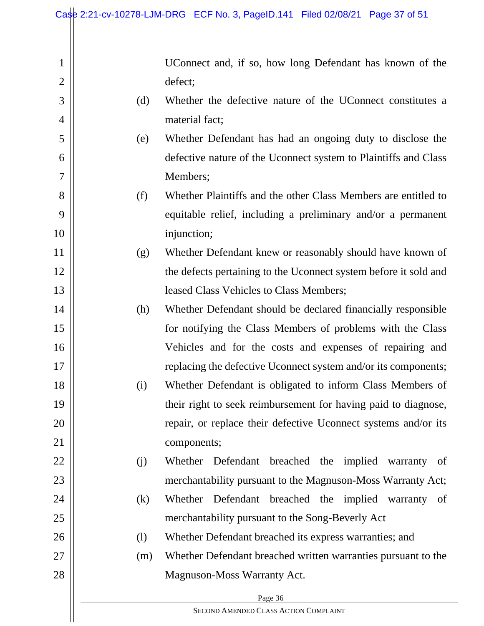2

3

4

5

6

7

8

9

10

11

12

13

14

15

16

17

18

19

20

21

22

23

24

25

26

27

28

UConnect and, if so, how long Defendant has known of the defect;

- (d) Whether the defective nature of the UConnect constitutes a material fact;
- (e) Whether Defendant has had an ongoing duty to disclose the defective nature of the Uconnect system to Plaintiffs and Class Members;
- (f) Whether Plaintiffs and the other Class Members are entitled to equitable relief, including a preliminary and/or a permanent injunction;
- (g) Whether Defendant knew or reasonably should have known of the defects pertaining to the Uconnect system before it sold and leased Class Vehicles to Class Members;
	- (h) Whether Defendant should be declared financially responsible for notifying the Class Members of problems with the Class Vehicles and for the costs and expenses of repairing and replacing the defective Uconnect system and/or its components;
- (i) Whether Defendant is obligated to inform Class Members of their right to seek reimbursement for having paid to diagnose, repair, or replace their defective Uconnect systems and/or its components;
	- (j) Whether Defendant breached the implied warranty of merchantability pursuant to the Magnuson-Moss Warranty Act;
	- (k) Whether Defendant breached the implied warranty of merchantability pursuant to the Song-Beverly Act

(l) Whether Defendant breached its express warranties; and

(m) Whether Defendant breached written warranties pursuant to the Magnuson-Moss Warranty Act.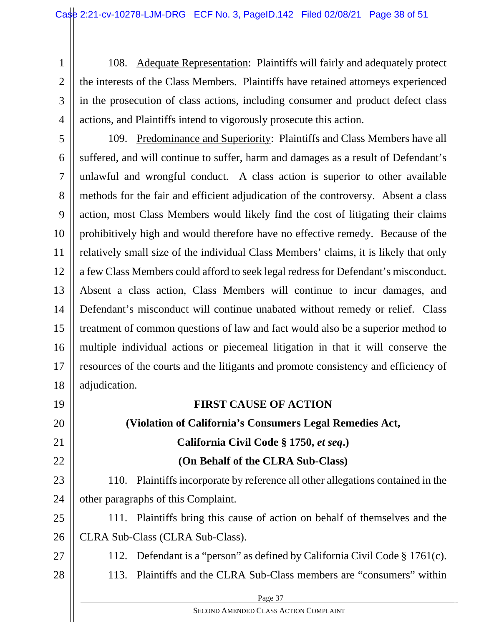1 2 3 4 108. Adequate Representation: Plaintiffs will fairly and adequately protect the interests of the Class Members. Plaintiffs have retained attorneys experienced in the prosecution of class actions, including consumer and product defect class actions, and Plaintiffs intend to vigorously prosecute this action.

5 6 7 8 9 10 11 12 13 14 15 16 17 18 109. Predominance and Superiority: Plaintiffs and Class Members have all suffered, and will continue to suffer, harm and damages as a result of Defendant's unlawful and wrongful conduct. A class action is superior to other available methods for the fair and efficient adjudication of the controversy. Absent a class action, most Class Members would likely find the cost of litigating their claims prohibitively high and would therefore have no effective remedy. Because of the relatively small size of the individual Class Members' claims, it is likely that only a few Class Members could afford to seek legal redress for Defendant's misconduct. Absent a class action, Class Members will continue to incur damages, and Defendant's misconduct will continue unabated without remedy or relief. Class treatment of common questions of law and fact would also be a superior method to multiple individual actions or piecemeal litigation in that it will conserve the resources of the courts and the litigants and promote consistency and efficiency of adjudication.

**FIRST CAUSE OF ACTION** 

**(Violation of California's Consumers Legal Remedies Act,** 

**California Civil Code § 1750,** *et seq***.)** 

**(On Behalf of the CLRA Sub-Class)** 

other paragraphs of this Complaint.

CLRA Sub-Class (CLRA Sub-Class).

## 112. Defendant is a "person" as defined by California Civil Code § 1761(c).

110. Plaintiffs incorporate by reference all other allegations contained in the

111. Plaintiffs bring this cause of action on behalf of themselves and the

- 28
- 113. Plaintiffs and the CLRA Sub-Class members are "consumers" within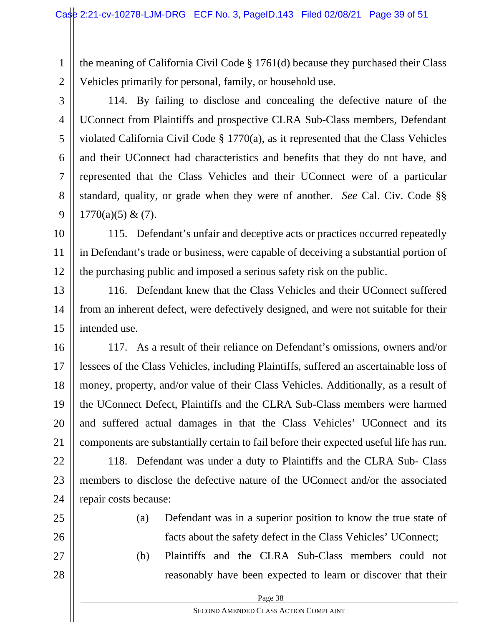1 2 the meaning of California Civil Code § 1761(d) because they purchased their Class Vehicles primarily for personal, family, or household use.

3 4 5 6 7 8 9 114. By failing to disclose and concealing the defective nature of the UConnect from Plaintiffs and prospective CLRA Sub-Class members, Defendant violated California Civil Code § 1770(a), as it represented that the Class Vehicles and their UConnect had characteristics and benefits that they do not have, and represented that the Class Vehicles and their UConnect were of a particular standard, quality, or grade when they were of another. *See* Cal. Civ. Code §§  $1770(a)(5) & (7)$ .

10 11 12 115. Defendant's unfair and deceptive acts or practices occurred repeatedly in Defendant's trade or business, were capable of deceiving a substantial portion of the purchasing public and imposed a serious safety risk on the public.

13 14 15 116. Defendant knew that the Class Vehicles and their UConnect suffered from an inherent defect, were defectively designed, and were not suitable for their intended use.

16 17 18 19 20 21 117. As a result of their reliance on Defendant's omissions, owners and/or lessees of the Class Vehicles, including Plaintiffs, suffered an ascertainable loss of money, property, and/or value of their Class Vehicles. Additionally, as a result of the UConnect Defect, Plaintiffs and the CLRA Sub-Class members were harmed and suffered actual damages in that the Class Vehicles' UConnect and its components are substantially certain to fail before their expected useful life has run.

22 23 24 118. Defendant was under a duty to Plaintiffs and the CLRA Sub- Class members to disclose the defective nature of the UConnect and/or the associated repair costs because:

- 25
- 26
- 27

facts about the safety defect in the Class Vehicles' UConnect; (b) Plaintiffs and the CLRA Sub-Class members could not

reasonably have been expected to learn or discover that their

(a) Defendant was in a superior position to know the true state of

- 28
- Page 38

SECOND AMENDED CLASS ACTION COMPLAINT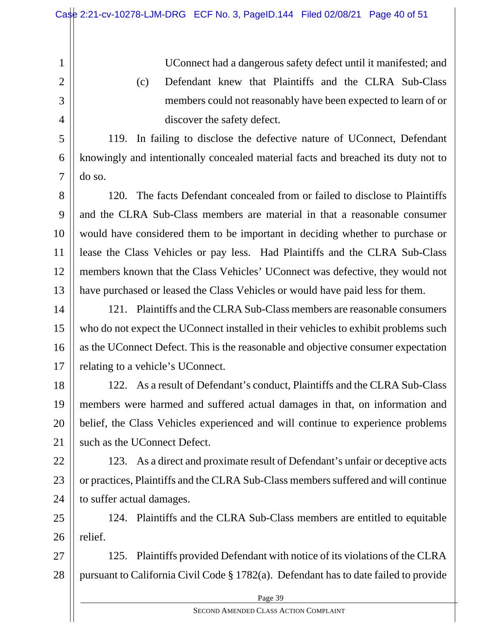2

3

4

5

6

7

UConnect had a dangerous safety defect until it manifested; and

(c) Defendant knew that Plaintiffs and the CLRA Sub-Class members could not reasonably have been expected to learn of or discover the safety defect.

119. In failing to disclose the defective nature of UConnect, Defendant knowingly and intentionally concealed material facts and breached its duty not to do so.

8 9 10 11 12 13 120. The facts Defendant concealed from or failed to disclose to Plaintiffs and the CLRA Sub-Class members are material in that a reasonable consumer would have considered them to be important in deciding whether to purchase or lease the Class Vehicles or pay less. Had Plaintiffs and the CLRA Sub-Class members known that the Class Vehicles' UConnect was defective, they would not have purchased or leased the Class Vehicles or would have paid less for them.

14 15 16 17 121. Plaintiffs and the CLRA Sub-Class members are reasonable consumers who do not expect the UConnect installed in their vehicles to exhibit problems such as the UConnect Defect. This is the reasonable and objective consumer expectation relating to a vehicle's UConnect.

18 19 20 21 122. As a result of Defendant's conduct, Plaintiffs and the CLRA Sub-Class members were harmed and suffered actual damages in that, on information and belief, the Class Vehicles experienced and will continue to experience problems such as the UConnect Defect.

22 23 24 123. As a direct and proximate result of Defendant's unfair or deceptive acts or practices, Plaintiffs and the CLRA Sub-Class members suffered and will continue to suffer actual damages.

25 26 124. Plaintiffs and the CLRA Sub-Class members are entitled to equitable relief.

27 28 125. Plaintiffs provided Defendant with notice of its violations of the CLRA pursuant to California Civil Code § 1782(a). Defendant has to date failed to provide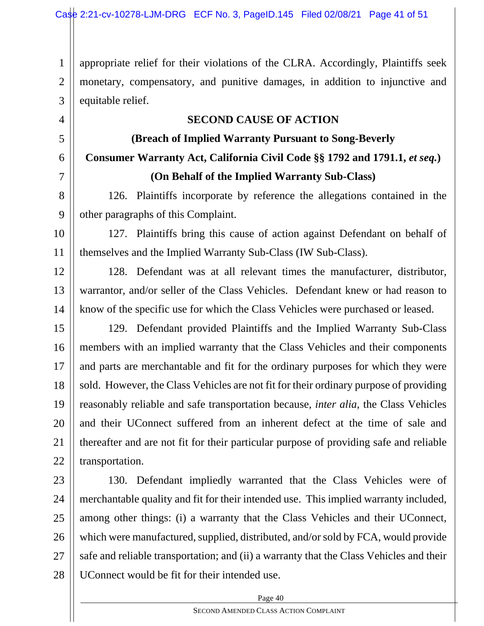1 2 3 appropriate relief for their violations of the CLRA. Accordingly, Plaintiffs seek monetary, compensatory, and punitive damages, in addition to injunctive and equitable relief.

#### **SECOND CAUSE OF ACTION**

4

5

6

7

8

9

### **(Breach of Implied Warranty Pursuant to Song-Beverly Consumer Warranty Act, California Civil Code §§ 1792 and 1791.1,** *et seq.***) (On Behalf of the Implied Warranty Sub-Class)**

126. Plaintiffs incorporate by reference the allegations contained in the other paragraphs of this Complaint.

10 11 127. Plaintiffs bring this cause of action against Defendant on behalf of themselves and the Implied Warranty Sub-Class (IW Sub-Class).

12 13 14 128. Defendant was at all relevant times the manufacturer, distributor, warrantor, and/or seller of the Class Vehicles. Defendant knew or had reason to know of the specific use for which the Class Vehicles were purchased or leased.

15 16 17 18 19 20 21 22 129. Defendant provided Plaintiffs and the Implied Warranty Sub-Class members with an implied warranty that the Class Vehicles and their components and parts are merchantable and fit for the ordinary purposes for which they were sold. However, the Class Vehicles are not fit for their ordinary purpose of providing reasonably reliable and safe transportation because, *inter alia*, the Class Vehicles and their UConnect suffered from an inherent defect at the time of sale and thereafter and are not fit for their particular purpose of providing safe and reliable transportation.

23 24 25 26 27 28 130. Defendant impliedly warranted that the Class Vehicles were of merchantable quality and fit for their intended use. This implied warranty included, among other things: (i) a warranty that the Class Vehicles and their UConnect, which were manufactured, supplied, distributed, and/or sold by FCA, would provide safe and reliable transportation; and (ii) a warranty that the Class Vehicles and their UConnect would be fit for their intended use.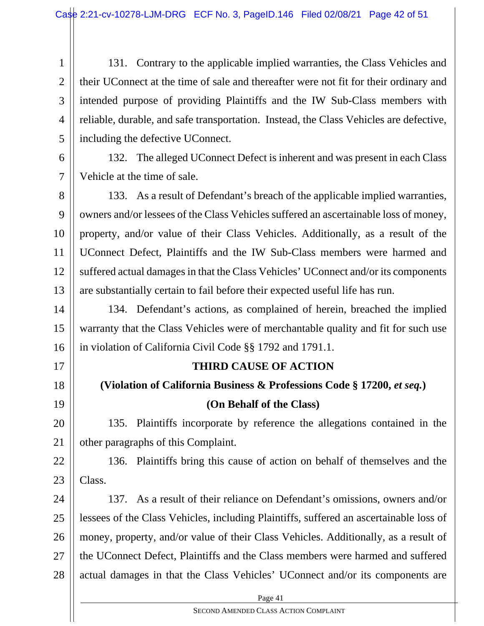1 2 3 4 5 131. Contrary to the applicable implied warranties, the Class Vehicles and their UConnect at the time of sale and thereafter were not fit for their ordinary and intended purpose of providing Plaintiffs and the IW Sub-Class members with reliable, durable, and safe transportation. Instead, the Class Vehicles are defective, including the defective UConnect.

6 7 132. The alleged UConnect Defect is inherent and was present in each Class Vehicle at the time of sale.

8 9 10 11 12 13 133. As a result of Defendant's breach of the applicable implied warranties, owners and/or lessees of the Class Vehicles suffered an ascertainable loss of money, property, and/or value of their Class Vehicles. Additionally, as a result of the UConnect Defect, Plaintiffs and the IW Sub-Class members were harmed and suffered actual damages in that the Class Vehicles' UConnect and/or its components are substantially certain to fail before their expected useful life has run.

14 15 16 134. Defendant's actions, as complained of herein, breached the implied warranty that the Class Vehicles were of merchantable quality and fit for such use in violation of California Civil Code §§ 1792 and 1791.1.

17

18

# 19

20

21

**(Violation of California Business & Professions Code § 17200,** *et seq.***) (On Behalf of the Class)** 

**THIRD CAUSE OF ACTION** 

135. Plaintiffs incorporate by reference the allegations contained in the other paragraphs of this Complaint.

22 23 136. Plaintiffs bring this cause of action on behalf of themselves and the Class.

24 25 26 27 28 137. As a result of their reliance on Defendant's omissions, owners and/or lessees of the Class Vehicles, including Plaintiffs, suffered an ascertainable loss of money, property, and/or value of their Class Vehicles. Additionally, as a result of the UConnect Defect, Plaintiffs and the Class members were harmed and suffered actual damages in that the Class Vehicles' UConnect and/or its components are

Page 41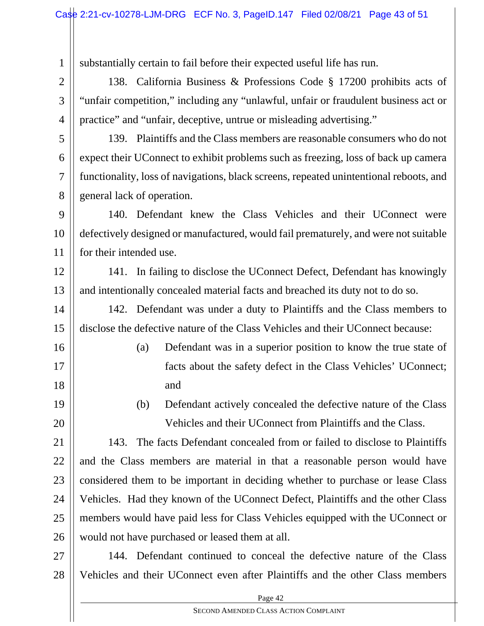substantially certain to fail before their expected useful life has run.

1

2

3

4

5

6

7

8

16

17

18

19

20

138. California Business & Professions Code § 17200 prohibits acts of "unfair competition," including any "unlawful, unfair or fraudulent business act or practice" and "unfair, deceptive, untrue or misleading advertising."

139. Plaintiffs and the Class members are reasonable consumers who do not expect their UConnect to exhibit problems such as freezing, loss of back up camera functionality, loss of navigations, black screens, repeated unintentional reboots, and general lack of operation.

9 10 11 140. Defendant knew the Class Vehicles and their UConnect were defectively designed or manufactured, would fail prematurely, and were not suitable for their intended use.

12 13 141. In failing to disclose the UConnect Defect, Defendant has knowingly and intentionally concealed material facts and breached its duty not to do so.

14 15 142. Defendant was under a duty to Plaintiffs and the Class members to disclose the defective nature of the Class Vehicles and their UConnect because:

- (a) Defendant was in a superior position to know the true state of facts about the safety defect in the Class Vehicles' UConnect; and
- (b) Defendant actively concealed the defective nature of the Class Vehicles and their UConnect from Plaintiffs and the Class.

21 22 23 24 25 26 143. The facts Defendant concealed from or failed to disclose to Plaintiffs and the Class members are material in that a reasonable person would have considered them to be important in deciding whether to purchase or lease Class Vehicles. Had they known of the UConnect Defect, Plaintiffs and the other Class members would have paid less for Class Vehicles equipped with the UConnect or would not have purchased or leased them at all.

27 28 144. Defendant continued to conceal the defective nature of the Class Vehicles and their UConnect even after Plaintiffs and the other Class members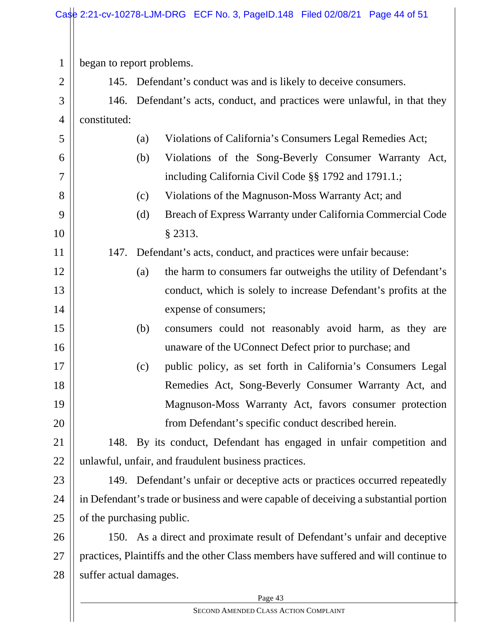1 began to report problems.

2

5

6

7

8

9

10

11

12

13

14

15

16

17

18

19

20

145. Defendant's conduct was and is likely to deceive consumers.

3 4 146. Defendant's acts, conduct, and practices were unlawful, in that they constituted:

- (a) Violations of California's Consumers Legal Remedies Act;
	- (b) Violations of the Song-Beverly Consumer Warranty Act, including California Civil Code §§ 1792 and 1791.1.;
		- (c) Violations of the Magnuson-Moss Warranty Act; and
		- (d) Breach of Express Warranty under California Commercial Code § 2313.

147. Defendant's acts, conduct, and practices were unfair because:

- (a) the harm to consumers far outweighs the utility of Defendant's conduct, which is solely to increase Defendant's profits at the expense of consumers;
- (b) consumers could not reasonably avoid harm, as they are unaware of the UConnect Defect prior to purchase; and
- (c) public policy, as set forth in California's Consumers Legal Remedies Act, Song-Beverly Consumer Warranty Act, and Magnuson-Moss Warranty Act, favors consumer protection from Defendant's specific conduct described herein.

21 22 148. By its conduct, Defendant has engaged in unfair competition and unlawful, unfair, and fraudulent business practices.

23 24 25 149. Defendant's unfair or deceptive acts or practices occurred repeatedly in Defendant's trade or business and were capable of deceiving a substantial portion of the purchasing public.

26 27 28 150. As a direct and proximate result of Defendant's unfair and deceptive practices, Plaintiffs and the other Class members have suffered and will continue to suffer actual damages.

 $\log 43$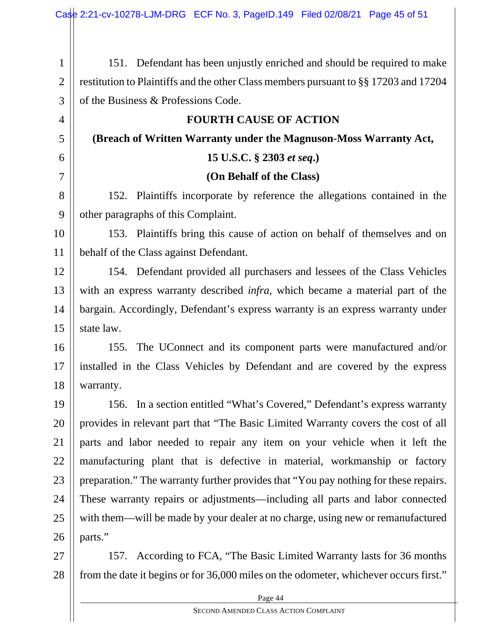| $\mathbf{1}$   | 151. Defendant has been unjustly enriched and should be required to make              |  |  |
|----------------|---------------------------------------------------------------------------------------|--|--|
| $\overline{2}$ | restitution to Plaintiffs and the other Class members pursuant to §§ 17203 and 17204  |  |  |
| 3              | of the Business & Professions Code.                                                   |  |  |
| $\overline{4}$ | <b>FOURTH CAUSE OF ACTION</b>                                                         |  |  |
| 5              | (Breach of Written Warranty under the Magnuson-Moss Warranty Act,                     |  |  |
| 6              | 15 U.S.C. § 2303 et seq.)                                                             |  |  |
| $\overline{7}$ | (On Behalf of the Class)                                                              |  |  |
| 8              | 152. Plaintiffs incorporate by reference the allegations contained in the             |  |  |
| 9              | other paragraphs of this Complaint.                                                   |  |  |
| 10             | 153. Plaintiffs bring this cause of action on behalf of themselves and on             |  |  |
| 11             | behalf of the Class against Defendant.                                                |  |  |
| 12             | 154. Defendant provided all purchasers and lessees of the Class Vehicles              |  |  |
| 13             | with an express warranty described <i>infra</i> , which became a material part of the |  |  |
| 14             | bargain. Accordingly, Defendant's express warranty is an express warranty under       |  |  |
| 15             | state law.                                                                            |  |  |
| 16             | The UConnect and its component parts were manufactured and/or<br>155.                 |  |  |
| 17             | installed in the Class Vehicles by Defendant and are covered by the express           |  |  |
| 18             | warranty.                                                                             |  |  |
| 19             | 156. In a section entitled "What's Covered," Defendant's express warranty             |  |  |
| 20             | provides in relevant part that "The Basic Limited Warranty covers the cost of all     |  |  |
| 21             | parts and labor needed to repair any item on your vehicle when it left the            |  |  |
| 22             | manufacturing plant that is defective in material, workmanship or factory             |  |  |
| 23             | preparation." The warranty further provides that "You pay nothing for these repairs.  |  |  |
| 24             | These warranty repairs or adjustments—including all parts and labor connected         |  |  |
| 25             | with them—will be made by your dealer at no charge, using new or remanufactured       |  |  |
| 26             | parts."                                                                               |  |  |
| 27             | 157. According to FCA, "The Basic Limited Warranty lasts for 36 months"               |  |  |
| 28             | from the date it begins or for 36,000 miles on the odometer, whichever occurs first." |  |  |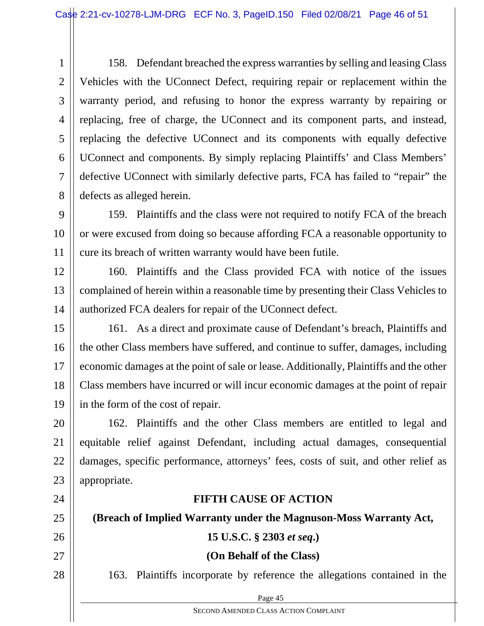1 2 3 4 5 6 7 8 158. Defendant breached the express warranties by selling and leasing Class Vehicles with the UConnect Defect, requiring repair or replacement within the warranty period, and refusing to honor the express warranty by repairing or replacing, free of charge, the UConnect and its component parts, and instead, replacing the defective UConnect and its components with equally defective UConnect and components. By simply replacing Plaintiffs' and Class Members' defective UConnect with similarly defective parts, FCA has failed to "repair" the defects as alleged herein.

9 10 11 159. Plaintiffs and the class were not required to notify FCA of the breach or were excused from doing so because affording FCA a reasonable opportunity to cure its breach of written warranty would have been futile.

12 13 14 160. Plaintiffs and the Class provided FCA with notice of the issues complained of herein within a reasonable time by presenting their Class Vehicles to authorized FCA dealers for repair of the UConnect defect.

15 16 17 18 19 161. As a direct and proximate cause of Defendant's breach, Plaintiffs and the other Class members have suffered, and continue to suffer, damages, including economic damages at the point of sale or lease. Additionally, Plaintiffs and the other Class members have incurred or will incur economic damages at the point of repair in the form of the cost of repair.

20 21 22 23 162. Plaintiffs and the other Class members are entitled to legal and equitable relief against Defendant, including actual damages, consequential damages, specific performance, attorneys' fees, costs of suit, and other relief as appropriate.

#### **FIFTH CAUSE OF ACTION**

**(Breach of Implied Warranty under the Magnuson-Moss Warranty Act,** 

25

26

24

- 27
- 28

**15 U.S.C. § 2303** *et seq***.)** 

#### **(On Behalf of the Class)**

163. Plaintiffs incorporate by reference the allegations contained in the

 $Page 45$ 

SECOND AMENDED CLASS ACTION COMPLAINT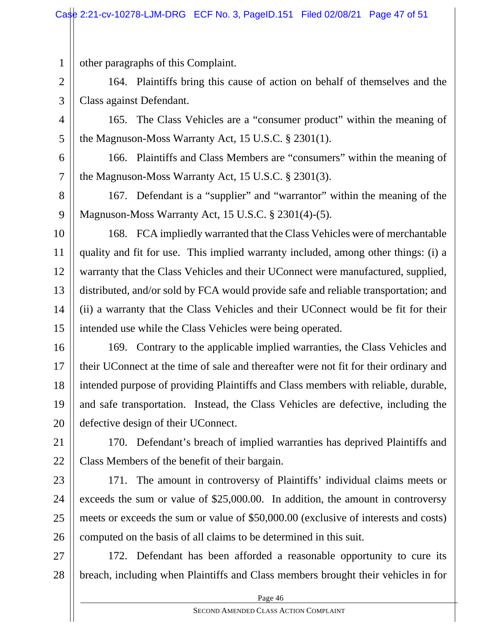other paragraphs of this Complaint.

164. Plaintiffs bring this cause of action on behalf of themselves and the Class against Defendant.

4 5 165. The Class Vehicles are a "consumer product" within the meaning of the Magnuson-Moss Warranty Act, 15 U.S.C. § 2301(1).

166. Plaintiffs and Class Members are "consumers" within the meaning of

6

1

2

3

7 the Magnuson-Moss Warranty Act, 15 U.S.C. § 2301(3).

8 9 167. Defendant is a "supplier" and "warrantor" within the meaning of the Magnuson-Moss Warranty Act, 15 U.S.C. § 2301(4)-(5).

10

11 12 13 14 15 168. FCA impliedly warranted that the Class Vehicles were of merchantable quality and fit for use. This implied warranty included, among other things: (i) a warranty that the Class Vehicles and their UConnect were manufactured, supplied, distributed, and/or sold by FCA would provide safe and reliable transportation; and (ii) a warranty that the Class Vehicles and their UConnect would be fit for their intended use while the Class Vehicles were being operated.

16 17 18 19 20 169. Contrary to the applicable implied warranties, the Class Vehicles and their UConnect at the time of sale and thereafter were not fit for their ordinary and intended purpose of providing Plaintiffs and Class members with reliable, durable, and safe transportation. Instead, the Class Vehicles are defective, including the defective design of their UConnect.

21 22 170. Defendant's breach of implied warranties has deprived Plaintiffs and Class Members of the benefit of their bargain.

23 24 25 26 171. The amount in controversy of Plaintiffs' individual claims meets or exceeds the sum or value of \$25,000.00. In addition, the amount in controversy meets or exceeds the sum or value of \$50,000.00 (exclusive of interests and costs) computed on the basis of all claims to be determined in this suit.

27 28 172. Defendant has been afforded a reasonable opportunity to cure its breach, including when Plaintiffs and Class members brought their vehicles in for

 $Page 46$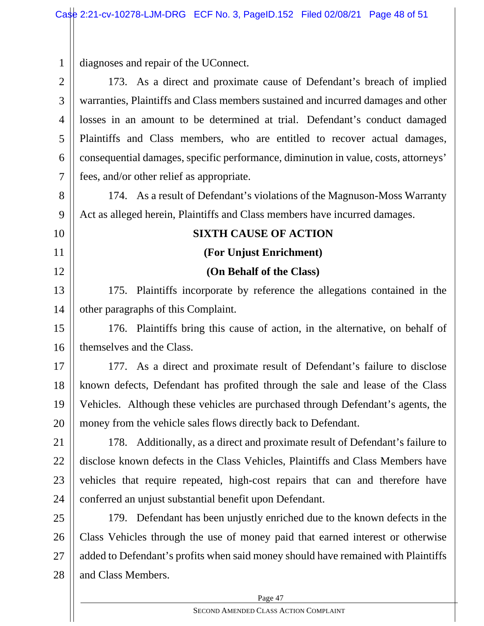1 diagnoses and repair of the UConnect.

2 3 4 5 6 7 8 9 10 11 12 13 14 15 16 17 18 19 20 21 22 23 24 25 26 27 28 173. As a direct and proximate cause of Defendant's breach of implied warranties, Plaintiffs and Class members sustained and incurred damages and other losses in an amount to be determined at trial. Defendant's conduct damaged Plaintiffs and Class members, who are entitled to recover actual damages, consequential damages, specific performance, diminution in value, costs, attorneys' fees, and/or other relief as appropriate. 174. As a result of Defendant's violations of the Magnuson-Moss Warranty Act as alleged herein, Plaintiffs and Class members have incurred damages. **SIXTH CAUSE OF ACTION (For Unjust Enrichment) (On Behalf of the Class)**  175. Plaintiffs incorporate by reference the allegations contained in the other paragraphs of this Complaint. 176. Plaintiffs bring this cause of action, in the alternative, on behalf of themselves and the Class. 177. As a direct and proximate result of Defendant's failure to disclose known defects, Defendant has profited through the sale and lease of the Class Vehicles. Although these vehicles are purchased through Defendant's agents, the money from the vehicle sales flows directly back to Defendant. 178. Additionally, as a direct and proximate result of Defendant's failure to disclose known defects in the Class Vehicles, Plaintiffs and Class Members have vehicles that require repeated, high-cost repairs that can and therefore have conferred an unjust substantial benefit upon Defendant. 179. Defendant has been unjustly enriched due to the known defects in the Class Vehicles through the use of money paid that earned interest or otherwise added to Defendant's profits when said money should have remained with Plaintiffs and Class Members.

Page 47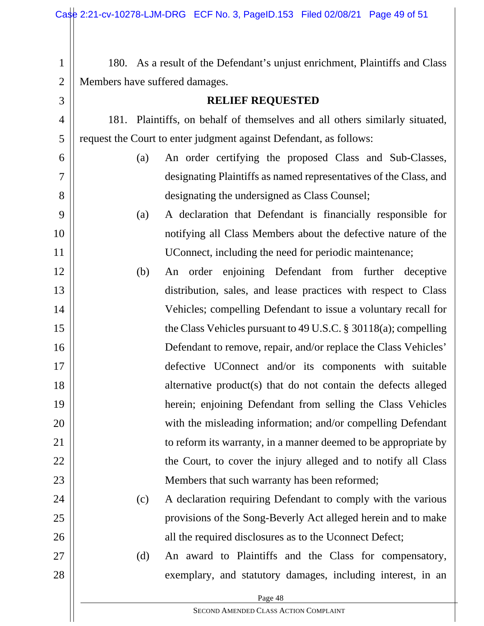| $\mathbf{1}$   | 180. As a result of the Defendant's unjust enrichment, Plaintiffs and Class |  |
|----------------|-----------------------------------------------------------------------------|--|
| $\overline{2}$ | Members have suffered damages.                                              |  |
| 3              | <b>RELIEF REQUESTED</b>                                                     |  |
| 4              | 181. Plaintiffs, on behalf of themselves and all others similarly situated, |  |
| 5              | request the Court to enter judgment against Defendant, as follows:          |  |
| 6              | An order certifying the proposed Class and Sub-Classes,<br>(a)              |  |
| 7              | designating Plaintiffs as named representatives of the Class, and           |  |
| 8              | designating the undersigned as Class Counsel;                               |  |
| 9              | A declaration that Defendant is financially responsible for<br>(a)          |  |
| 10             | notifying all Class Members about the defective nature of the               |  |
| 11             | UConnect, including the need for periodic maintenance;                      |  |
| 12             | (b)<br>An order enjoining Defendant from further deceptive                  |  |
| 13             | distribution, sales, and lease practices with respect to Class              |  |
| 14             | Vehicles; compelling Defendant to issue a voluntary recall for              |  |
| 15             | the Class Vehicles pursuant to 49 U.S.C. $\S$ 30118(a); compelling          |  |
| 16             | Defendant to remove, repair, and/or replace the Class Vehicles'             |  |
| 17             | defective UConnect and/or its components with suitable                      |  |
| 18             | alternative product(s) that do not contain the defects alleged              |  |
| 19             | herein; enjoining Defendant from selling the Class Vehicles                 |  |
| 20             | with the misleading information; and/or compelling Defendant                |  |
| 21             | to reform its warranty, in a manner deemed to be appropriate by             |  |
| 22             | the Court, to cover the injury alleged and to notify all Class              |  |
| 23             | Members that such warranty has been reformed;                               |  |
| 24             | A declaration requiring Defendant to comply with the various<br>(c)         |  |
| 25             | provisions of the Song-Beverly Act alleged herein and to make               |  |
| 26             | all the required disclosures as to the Uconnect Defect;                     |  |
| 27             | (d)<br>An award to Plaintiffs and the Class for compensatory,               |  |
| 28             | exemplary, and statutory damages, including interest, in an                 |  |
|                | Page 48                                                                     |  |

SECOND AMENDED CLASS ACTION COMPLAINT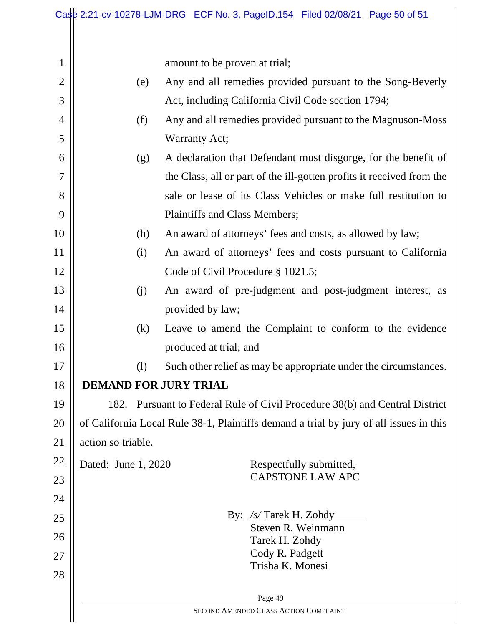amount to be proven at trial;

1

| $\overline{2}$ | (e)                                                                                    | Any and all remedies provided pursuant to the Song-Beverly            |  |  |
|----------------|----------------------------------------------------------------------------------------|-----------------------------------------------------------------------|--|--|
| 3              |                                                                                        | Act, including California Civil Code section 1794;                    |  |  |
| 4              | (f)                                                                                    | Any and all remedies provided pursuant to the Magnuson-Moss           |  |  |
| 5              |                                                                                        | Warranty Act;                                                         |  |  |
| 6              | (g)                                                                                    | A declaration that Defendant must disgorge, for the benefit of        |  |  |
| $\tau$         |                                                                                        | the Class, all or part of the ill-gotten profits it received from the |  |  |
| 8              |                                                                                        | sale or lease of its Class Vehicles or make full restitution to       |  |  |
| 9              |                                                                                        | Plaintiffs and Class Members;                                         |  |  |
| 10             | (h)                                                                                    | An award of attorneys' fees and costs, as allowed by law;             |  |  |
| 11             | (i)                                                                                    | An award of attorneys' fees and costs pursuant to California          |  |  |
| 12             |                                                                                        | Code of Civil Procedure § 1021.5;                                     |  |  |
| 13             | (j)                                                                                    | An award of pre-judgment and post-judgment interest, as               |  |  |
| 14             |                                                                                        | provided by law;                                                      |  |  |
| 15             | (k)                                                                                    | Leave to amend the Complaint to conform to the evidence               |  |  |
| 16             |                                                                                        | produced at trial; and                                                |  |  |
| 17             | (1)                                                                                    | Such other relief as may be appropriate under the circumstances.      |  |  |
| 18             | <b>DEMAND FOR JURY TRIAL</b>                                                           |                                                                       |  |  |
| 19             | 182. Pursuant to Federal Rule of Civil Procedure 38(b) and Central District            |                                                                       |  |  |
| 20             | of California Local Rule 38-1, Plaintiffs demand a trial by jury of all issues in this |                                                                       |  |  |
| 21             | action so triable.                                                                     |                                                                       |  |  |
| 22             | Dated: June 1, 2020                                                                    | Respectfully submitted,                                               |  |  |
| 23             |                                                                                        | <b>CAPSTONE LAW APC</b>                                               |  |  |
| 24             |                                                                                        |                                                                       |  |  |
| 25             |                                                                                        | By: $/s/Tarek$ H. Zohdy<br>Steven R. Weinmann                         |  |  |
| 26             |                                                                                        | Tarek H. Zohdy                                                        |  |  |
| 27             |                                                                                        | Cody R. Padgett<br>Trisha K. Monesi                                   |  |  |
| 28             |                                                                                        |                                                                       |  |  |
|                |                                                                                        | Page 49                                                               |  |  |

SECOND AMENDED CLASS ACTION COMPLAINT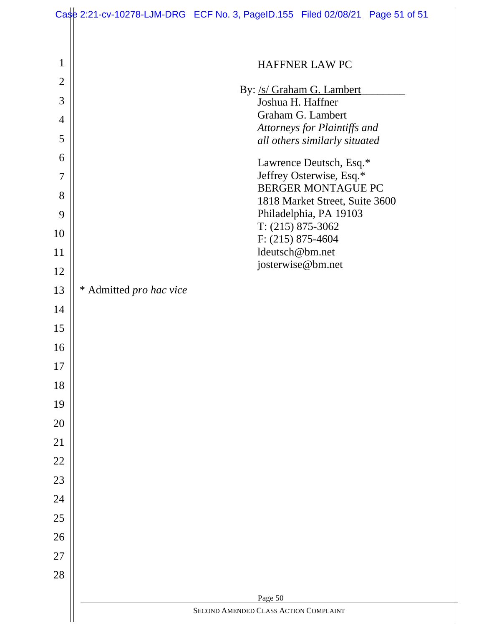| 1              | HAFFNER LAW PC                                                |  |
|----------------|---------------------------------------------------------------|--|
| $\overline{2}$ | By: /s/ Graham G. Lambert                                     |  |
| 3              | Joshua H. Haffner                                             |  |
| 4              | Graham G. Lambert                                             |  |
| 5              | Attorneys for Plaintiffs and<br>all others similarly situated |  |
| 6              | Lawrence Deutsch, Esq.*                                       |  |
| 7              | Jeffrey Osterwise, Esq.*                                      |  |
| 8              | <b>BERGER MONTAGUE PC</b><br>1818 Market Street, Suite 3600   |  |
| 9              | Philadelphia, PA 19103                                        |  |
| 10             | $T: (215) 875-3062$                                           |  |
| 11             | $F: (215) 875-4604$<br>ldeutsch@bm.net                        |  |
| 12             | josterwise@bm.net                                             |  |
| 13             | * Admitted pro hac vice                                       |  |
| 14             |                                                               |  |
| 15             |                                                               |  |
| 16             |                                                               |  |
| 17             |                                                               |  |
| 18             |                                                               |  |
| 19             |                                                               |  |
| 20             |                                                               |  |
| 21             |                                                               |  |
| 22             |                                                               |  |
| 23             |                                                               |  |
| 24             |                                                               |  |
| 25             |                                                               |  |
| 26             |                                                               |  |
| 27             |                                                               |  |
| 28             |                                                               |  |
|                | Page 50                                                       |  |
|                | SECOND AMENDED CLASS ACTION COMPLAINT                         |  |